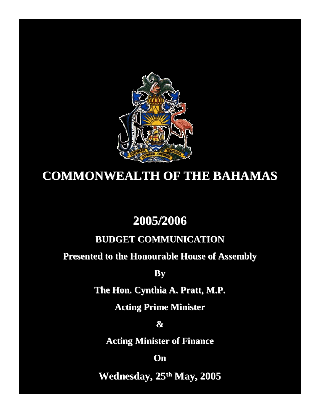

# **COMMONWEALTH OF THE BAHAMAS**

## **2005/2006**

## **BUDGET COMMUNICATION**

## **Presented to the Honourable House of Assembly**

**By**

**The Hon. Cynthia A. Pratt, M.P.**

**Acting Prime Minister**

**&**

**Acting Minister of Finance**

**On**

**Wednesday, 25th May, 2005**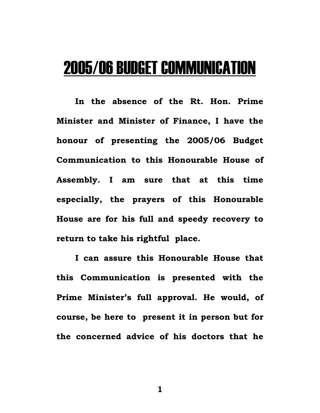# 2005/06 BUDGET COMMUNICATION

**In the absence of the Rt. Hon. Prime Minister and Minister of Finance, I have the honour of presenting the 2005/06 Budget Communication to this Honourable House of Assembly. I am sure that at this time especially, the prayers of this Honourable House are for his full and speedy recovery to return to take his rightful place.** 

**I can assure this Honourable House that this Communication is presented with the Prime Minister's full approval. He would, of course, be here to present it in person but for the concerned advice of his doctors that he**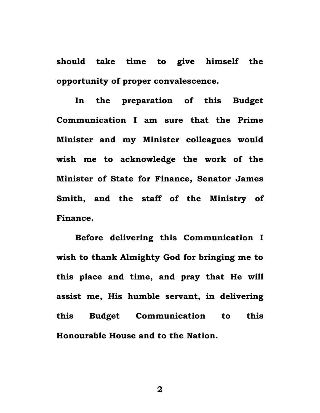**should take time to give himself the opportunity of proper convalescence.** 

**In the preparation of this Budget Communication I am sure that the Prime Minister and my Minister colleagues would wish me to acknowledge the work of the Minister of State for Finance, Senator James Smith, and the staff of the Ministry of Finance.** 

**Before delivering this Communication I wish to thank Almighty God for bringing me to this place and time, and pray that He will assist me, His humble servant, in delivering this Budget Communication to this Honourable House and to the Nation.**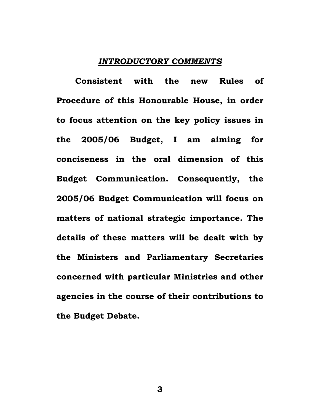#### *INTRODUCTORY COMMENTS*

**Consistent with the new Rules of Procedure of this Honourable House, in order to focus attention on the key policy issues in the 2005/06 Budget, I am aiming for conciseness in the oral dimension of this Budget Communication. Consequently, the 2005/06 Budget Communication will focus on matters of national strategic importance. The details of these matters will be dealt with by the Ministers and Parliamentary Secretaries concerned with particular Ministries and other agencies in the course of their contributions to the Budget Debate.**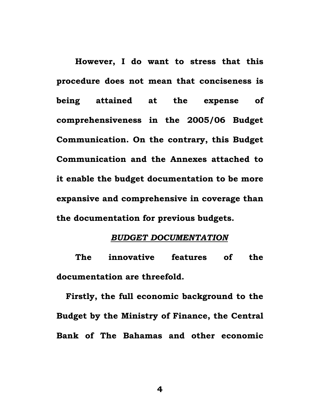**However, I do want to stress that this procedure does not mean that conciseness is being attained at the expense of comprehensiveness in the 2005/06 Budget Communication. On the contrary, this Budget Communication and the Annexes attached to it enable the budget documentation to be more expansive and comprehensive in coverage than the documentation for previous budgets.** 

## *BUDGET DOCUMENTATION*

**The innovative features of the documentation are threefold.** 

**Firstly, the full economic background to the Budget by the Ministry of Finance, the Central Bank of The Bahamas and other economic**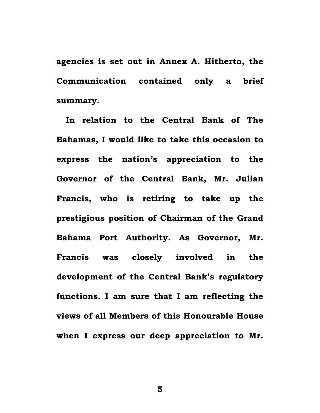**agencies is set out in Annex A. Hitherto, the Communication contained only a brief summary.** 

**In relation to the Central Bank of The Bahamas, I would like to take this occasion to express the nation's appreciation to the Governor of the Central Bank, Mr. Julian Francis, who is retiring to take up the prestigious position of Chairman of the Grand Bahama Port Authority. As Governor, Mr. Francis was closely involved in the development of the Central Bank's regulatory functions. I am sure that I am reflecting the views of all Members of this Honourable House when I express our deep appreciation to Mr.**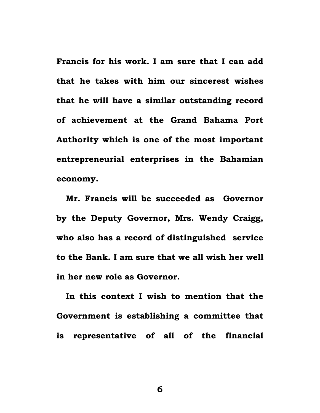**Francis for his work. I am sure that I can add that he takes with him our sincerest wishes that he will have a similar outstanding record of achievement at the Grand Bahama Port Authority which is one of the most important entrepreneurial enterprises in the Bahamian economy.** 

**Mr. Francis will be succeeded as Governor by the Deputy Governor, Mrs. Wendy Craigg, who also has a record of distinguished service to the Bank. I am sure that we all wish her well in her new role as Governor.** 

**In this context I wish to mention that the Government is establishing a committee that is representative of all of the financial**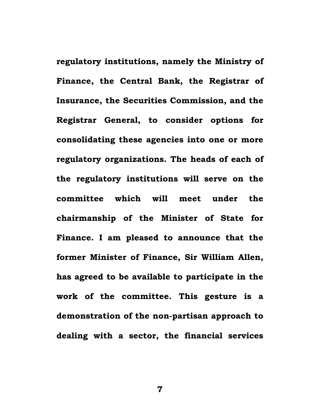**regulatory institutions, namely the Ministry of Finance, the Central Bank, the Registrar of Insurance, the Securities Commission, and the Registrar General, to consider options for consolidating these agencies into one or more regulatory organizations. The heads of each of the regulatory institutions will serve on the committee which will meet under the chairmanship of the Minister of State for Finance. I am pleased to announce that the former Minister of Finance, Sir William Allen, has agreed to be available to participate in the work of the committee. This gesture is a demonstration of the non-partisan approach to dealing with a sector, the financial services**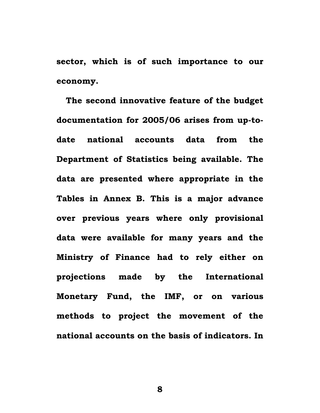**sector, which is of such importance to our economy.** 

**The second innovative feature of the budget documentation for 2005/06 arises from up-todate national accounts data from the Department of Statistics being available. The data are presented where appropriate in the Tables in Annex B. This is a major advance over previous years where only provisional data were available for many years and the Ministry of Finance had to rely either on projections made by the International Monetary Fund, the IMF, or on various methods to project the movement of the national accounts on the basis of indicators. In**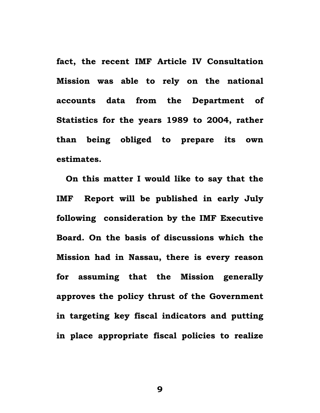**fact, the recent IMF Article IV Consultation Mission was able to rely on the national accounts data from the Department of Statistics for the years 1989 to 2004, rather than being obliged to prepare its own estimates.** 

**On this matter I would like to say that the IMF Report will be published in early July following consideration by the IMF Executive Board. On the basis of discussions which the Mission had in Nassau, there is every reason for assuming that the Mission generally approves the policy thrust of the Government in targeting key fiscal indicators and putting in place appropriate fiscal policies to realize**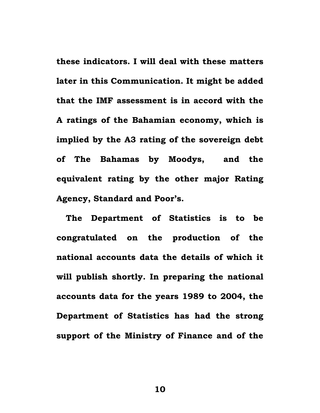**these indicators. I will deal with these matters later in this Communication. It might be added that the IMF assessment is in accord with the A ratings of the Bahamian economy, which is implied by the A3 rating of the sovereign debt of The Bahamas by Moodys, and the equivalent rating by the other major Rating Agency, Standard and Poor's.** 

**The Department of Statistics is to be congratulated on the production of the national accounts data the details of which it will publish shortly. In preparing the national accounts data for the years 1989 to 2004, the Department of Statistics has had the strong support of the Ministry of Finance and of the**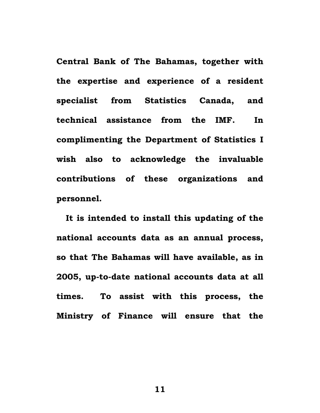**Central Bank of The Bahamas, together with the expertise and experience of a resident specialist from Statistics Canada, and technical assistance from the IMF. In complimenting the Department of Statistics I wish also to acknowledge the invaluable contributions of these organizations and personnel.** 

**It is intended to install this updating of the national accounts data as an annual process, so that The Bahamas will have available, as in 2005, up-to-date national accounts data at all times. To assist with this process, the Ministry of Finance will ensure that the**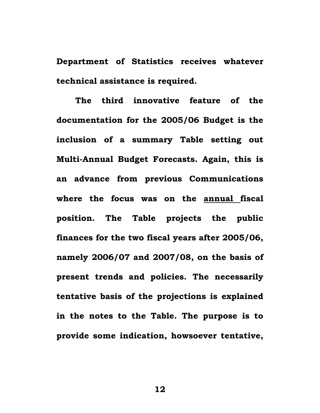**Department of Statistics receives whatever technical assistance is required.** 

**The third innovative feature of the documentation for the 2005/06 Budget is the inclusion of a summary Table setting out Multi-Annual Budget Forecasts. Again, this is an advance from previous Communications where the focus was on the annual fiscal position. The Table projects the public finances for the two fiscal years after 2005/06, namely 2006/07 and 2007/08, on the basis of present trends and policies. The necessarily tentative basis of the projections is explained in the notes to the Table. The purpose is to provide some indication, howsoever tentative,**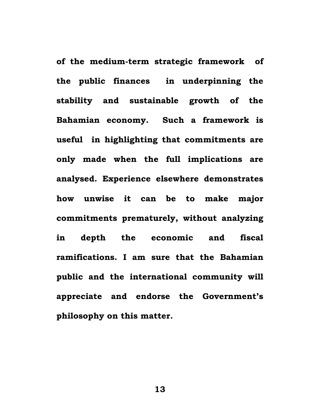**of the medium-term strategic framework of the public finances in underpinning the stability and sustainable growth of the Bahamian economy. Such a framework is useful in highlighting that commitments are only made when the full implications are analysed. Experience elsewhere demonstrates how unwise it can be to make major commitments prematurely, without analyzing in depth the economic and fiscal ramifications. I am sure that the Bahamian public and the international community will appreciate and endorse the Government's philosophy on this matter.**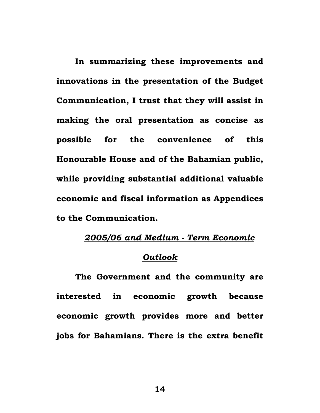**In summarizing these improvements and innovations in the presentation of the Budget Communication, I trust that they will assist in making the oral presentation as concise as possible for the convenience of this Honourable House and of the Bahamian public, while providing substantial additional valuable economic and fiscal information as Appendices to the Communication.** 

## *2005/06 and Medium - Term Economic*

## *Outlook*

**The Government and the community are interested in economic growth because economic growth provides more and better jobs for Bahamians. There is the extra benefit**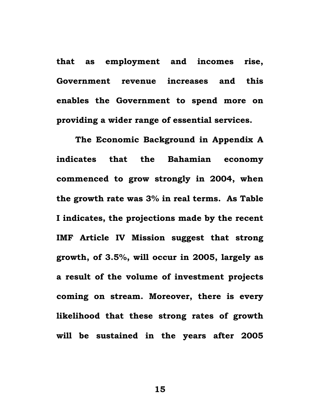**that as employment and incomes rise, Government revenue increases and this enables the Government to spend more on providing a wider range of essential services.** 

**The Economic Background in Appendix A indicates that the Bahamian economy commenced to grow strongly in 2004, when the growth rate was 3% in real terms. As Table I indicates, the projections made by the recent IMF Article IV Mission suggest that strong growth, of 3.5%, will occur in 2005, largely as a result of the volume of investment projects coming on stream. Moreover, there is every likelihood that these strong rates of growth will be sustained in the years after 2005**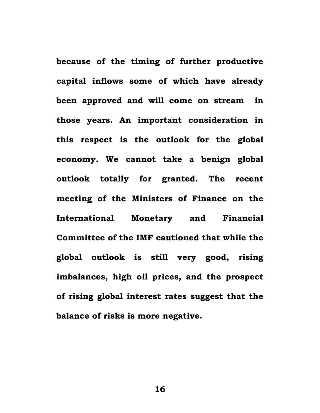**because of the timing of further productive capital inflows some of which have already been approved and will come on stream in those years. An important consideration in this respect is the outlook for the global economy. We cannot take a benign global outlook totally for granted. The recent meeting of the Ministers of Finance on the International Monetary and Financial Committee of the IMF cautioned that while the global outlook is still very good, rising imbalances, high oil prices, and the prospect of rising global interest rates suggest that the balance of risks is more negative.**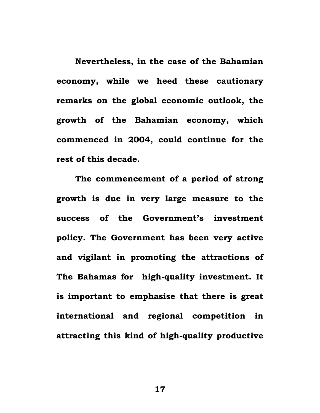**Nevertheless, in the case of the Bahamian economy, while we heed these cautionary remarks on the global economic outlook, the growth of the Bahamian economy, which commenced in 2004, could continue for the rest of this decade.** 

**The commencement of a period of strong growth is due in very large measure to the success of the Government's investment policy. The Government has been very active and vigilant in promoting the attractions of The Bahamas for high-quality investment. It is important to emphasise that there is great international and regional competition in attracting this kind of high-quality productive**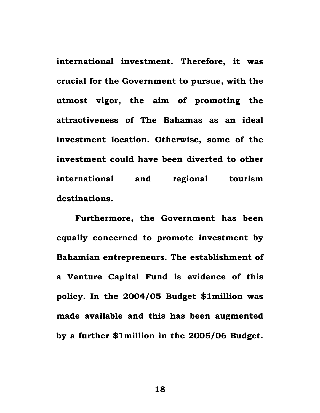**international investment. Therefore, it was crucial for the Government to pursue, with the utmost vigor, the aim of promoting the attractiveness of The Bahamas as an ideal investment location. Otherwise, some of the investment could have been diverted to other international and regional tourism destinations.** 

**Furthermore, the Government has been equally concerned to promote investment by Bahamian entrepreneurs. The establishment of a Venture Capital Fund is evidence of this policy. In the 2004/05 Budget \$1million was made available and this has been augmented by a further \$1million in the 2005/06 Budget.**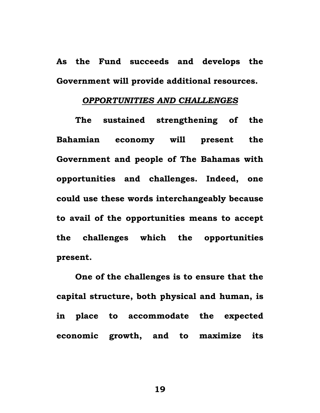**As the Fund succeeds and develops the Government will provide additional resources.** 

### *OPPORTUNITIES AND CHALLENGES*

 **The sustained strengthening of the Bahamian economy will present the Government and people of The Bahamas with opportunities and challenges. Indeed, one could use these words interchangeably because to avail of the opportunities means to accept the challenges which the opportunities present.** 

**One of the challenges is to ensure that the capital structure, both physical and human, is in place to accommodate the expected economic growth, and to maximize its**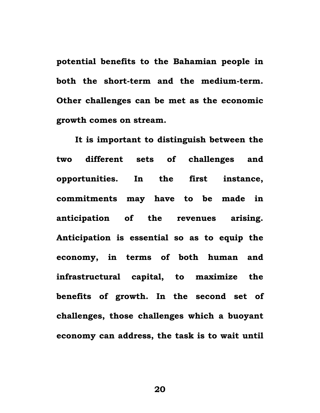**potential benefits to the Bahamian people in both the short-term and the medium-term. Other challenges can be met as the economic growth comes on stream.** 

 **It is important to distinguish between the two different sets of challenges and opportunities. In the first instance, commitments may have to be made in anticipation of the revenues arising. Anticipation is essential so as to equip the economy, in terms of both human and infrastructural capital, to maximize the benefits of growth. In the second set of challenges, those challenges which a buoyant economy can address, the task is to wait until**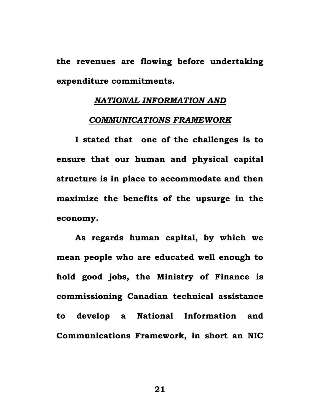**the revenues are flowing before undertaking expenditure commitments.** 

## *NATIONAL INFORMATION AND*

#### *COMMUNICATIONS FRAMEWORK*

 **I stated that one of the challenges is to ensure that our human and physical capital structure is in place to accommodate and then maximize the benefits of the upsurge in the economy.** 

 **As regards human capital, by which we mean people who are educated well enough to hold good jobs, the Ministry of Finance is commissioning Canadian technical assistance to develop a National Information and Communications Framework, in short an NIC**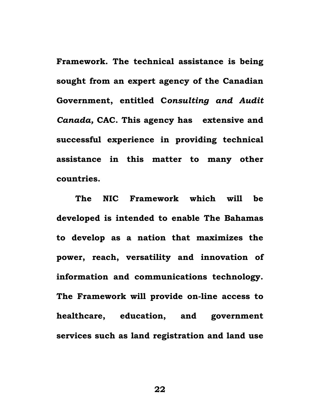**Framework. The technical assistance is being sought from an expert agency of the Canadian Government, entitled C***onsulting and Audit Canada,* **CAC. This agency has extensive and successful experience in providing technical assistance in this matter to many other countries.** 

**The NIC Framework which will be developed is intended to enable The Bahamas to develop as a nation that maximizes the power, reach, versatility and innovation of information and communications technology. The Framework will provide on-line access to healthcare, education, and government services such as land registration and land use**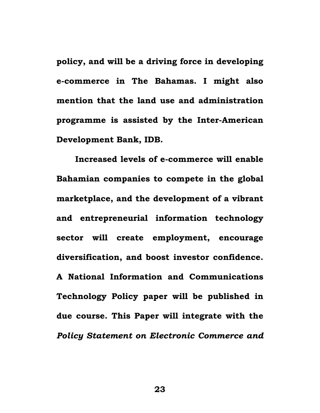**policy, and will be a driving force in developing e-commerce in The Bahamas. I might also mention that the land use and administration programme is assisted by the Inter-American Development Bank, IDB.** 

**Increased levels of e-commerce will enable Bahamian companies to compete in the global marketplace, and the development of a vibrant and entrepreneurial information technology sector will create employment, encourage diversification, and boost investor confidence. A National Information and Communications Technology Policy paper will be published in due course. This Paper will integrate with the**  *Policy Statement on Electronic Commerce and*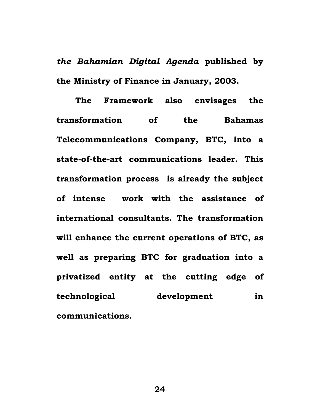*the Bahamian Digital Agenda* **published by the Ministry of Finance in January, 2003.** 

 **The Framework also envisages the transformation of the Bahamas Telecommunications Company, BTC, into a state-of-the-art communications leader. This transformation process is already the subject of intense work with the assistance of international consultants. The transformation will enhance the current operations of BTC, as well as preparing BTC for graduation into a privatized entity at the cutting edge of technological development in communications.**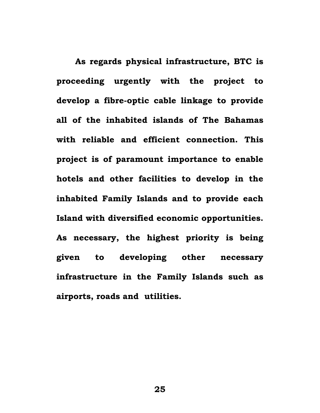**As regards physical infrastructure, BTC is proceeding urgently with the project to develop a fibre-optic cable linkage to provide all of the inhabited islands of The Bahamas with reliable and efficient connection. This project is of paramount importance to enable hotels and other facilities to develop in the inhabited Family Islands and to provide each Island with diversified economic opportunities. As necessary, the highest priority is being given to developing other necessary infrastructure in the Family Islands such as airports, roads and utilities.**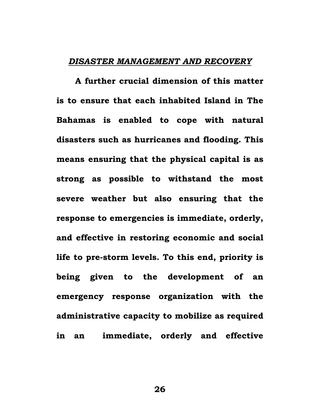### *DISASTER MANAGEMENT AND RECOVERY*

**A further crucial dimension of this matter is to ensure that each inhabited Island in The Bahamas is enabled to cope with natural disasters such as hurricanes and flooding. This means ensuring that the physical capital is as strong as possible to withstand the most severe weather but also ensuring that the response to emergencies is immediate, orderly, and effective in restoring economic and social life to pre-storm levels. To this end, priority is being given to the development of an emergency response organization with the administrative capacity to mobilize as required in an immediate, orderly and effective**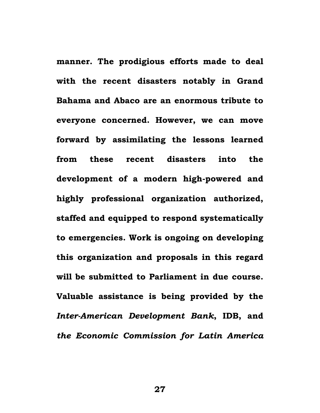**manner. The prodigious efforts made to deal with the recent disasters notably in Grand Bahama and Abaco are an enormous tribute to everyone concerned. However, we can move forward by assimilating the lessons learned from these recent disasters into the development of a modern high-powered and highly professional organization authorized, staffed and equipped to respond systematically to emergencies. Work is ongoing on developing this organization and proposals in this regard will be submitted to Parliament in due course. Valuable assistance is being provided by the**  *Inter-American Development Bank***, IDB, and**  *the Economic Commission for Latin America*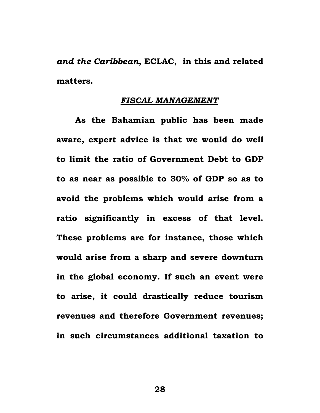*and the Caribbean***, ECLAC, in this and related matters.** 

## *FISCAL MANAGEMENT*

**As the Bahamian public has been made aware, expert advice is that we would do well to limit the ratio of Government Debt to GDP to as near as possible to 30% of GDP so as to avoid the problems which would arise from a ratio significantly in excess of that level. These problems are for instance, those which would arise from a sharp and severe downturn in the global economy. If such an event were to arise, it could drastically reduce tourism revenues and therefore Government revenues; in such circumstances additional taxation to**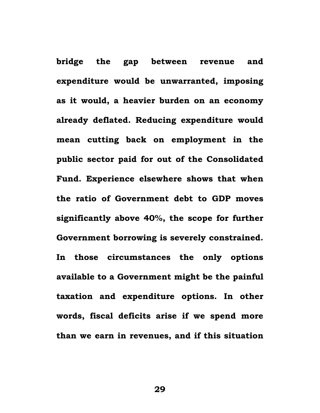**bridge the gap between revenue and expenditure would be unwarranted, imposing as it would, a heavier burden on an economy already deflated. Reducing expenditure would mean cutting back on employment in the public sector paid for out of the Consolidated Fund. Experience elsewhere shows that when the ratio of Government debt to GDP moves significantly above 40%, the scope for further Government borrowing is severely constrained. In those circumstances the only options available to a Government might be the painful taxation and expenditure options. In other words, fiscal deficits arise if we spend more than we earn in revenues, and if this situation**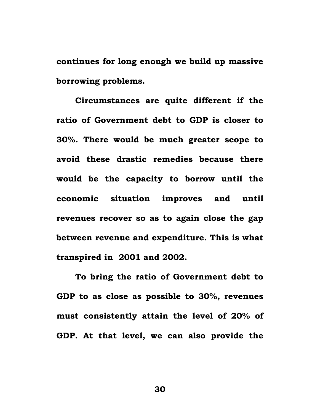**continues for long enough we build up massive borrowing problems.** 

**Circumstances are quite different if the ratio of Government debt to GDP is closer to 30%. There would be much greater scope to avoid these drastic remedies because there would be the capacity to borrow until the economic situation improves and until revenues recover so as to again close the gap between revenue and expenditure. This is what transpired in 2001 and 2002.** 

**To bring the ratio of Government debt to GDP to as close as possible to 30%, revenues must consistently attain the level of 20% of GDP. At that level, we can also provide the**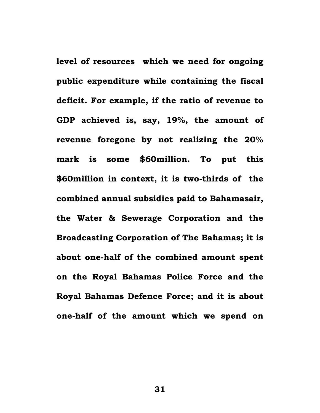**level of resources which we need for ongoing public expenditure while containing the fiscal deficit. For example, if the ratio of revenue to GDP achieved is, say, 19%, the amount of revenue foregone by not realizing the 20% mark is some \$60million. To put this \$60million in context, it is two-thirds of the combined annual subsidies paid to Bahamasair, the Water & Sewerage Corporation and the Broadcasting Corporation of The Bahamas; it is about one-half of the combined amount spent on the Royal Bahamas Police Force and the Royal Bahamas Defence Force; and it is about one-half of the amount which we spend on**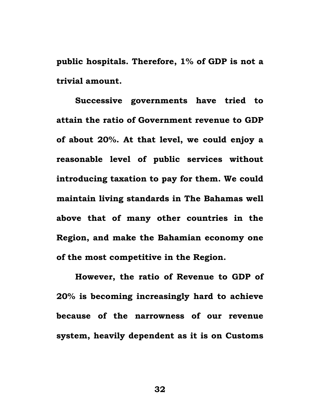**public hospitals. Therefore, 1% of GDP is not a trivial amount.** 

**Successive governments have tried to attain the ratio of Government revenue to GDP of about 20%. At that level, we could enjoy a reasonable level of public services without introducing taxation to pay for them. We could maintain living standards in The Bahamas well above that of many other countries in the Region, and make the Bahamian economy one of the most competitive in the Region.** 

**However, the ratio of Revenue to GDP of 20% is becoming increasingly hard to achieve because of the narrowness of our revenue system, heavily dependent as it is on Customs**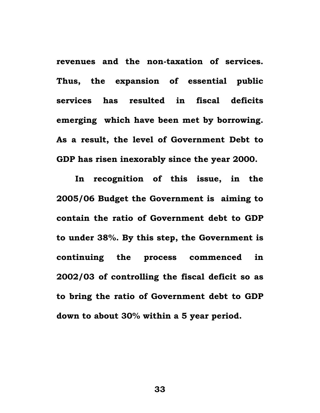**revenues and the non-taxation of services. Thus, the expansion of essential public services has resulted in fiscal deficits emerging which have been met by borrowing. As a result, the level of Government Debt to GDP has risen inexorably since the year 2000.** 

**In recognition of this issue, in the 2005/06 Budget the Government is aiming to contain the ratio of Government debt to GDP to under 38%. By this step, the Government is continuing the process commenced in 2002/03 of controlling the fiscal deficit so as to bring the ratio of Government debt to GDP down to about 30% within a 5 year period.**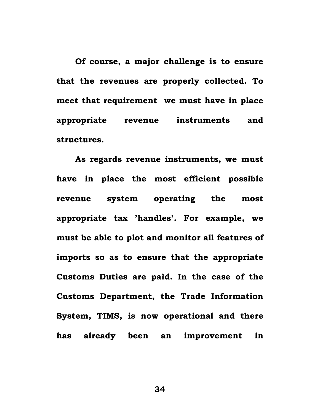**Of course, a major challenge is to ensure that the revenues are properly collected. To meet that requirement we must have in place appropriate revenue instruments and structures.** 

**As regards revenue instruments, we must have in place the most efficient possible revenue system operating the most appropriate tax 'handles'. For example, we must be able to plot and monitor all features of imports so as to ensure that the appropriate Customs Duties are paid. In the case of the Customs Department, the Trade Information System, TIMS, is now operational and there has already been an improvement in**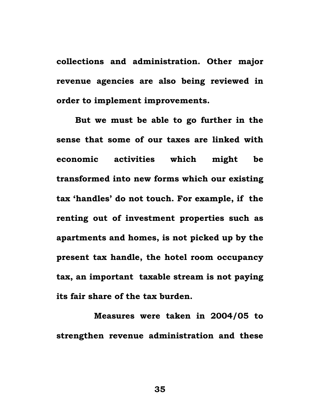**collections and administration. Other major revenue agencies are also being reviewed in order to implement improvements.** 

**But we must be able to go further in the sense that some of our taxes are linked with economic activities which might be transformed into new forms which our existing tax 'handles' do not touch. For example, if the renting out of investment properties such as apartments and homes, is not picked up by the present tax handle, the hotel room occupancy tax, an important taxable stream is not paying its fair share of the tax burden.** 

 **Measures were taken in 2004/05 to strengthen revenue administration and these**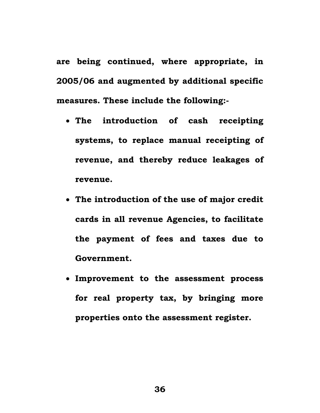**are being continued, where appropriate, in 2005/06 and augmented by additional specific measures. These include the following:-** 

- **The introduction of cash receipting systems, to replace manual receipting of revenue, and thereby reduce leakages of revenue.**
- **The introduction of the use of major credit cards in all revenue Agencies, to facilitate the payment of fees and taxes due to Government.**
- **Improvement to the assessment process for real property tax, by bringing more properties onto the assessment register.**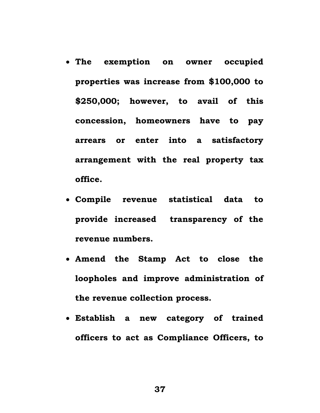- **The exemption on owner occupied properties was increase from \$100,000 to \$250,000; however, to avail of this concession, homeowners have to pay arrears or enter into a satisfactory arrangement with the real property tax office.**
- **Compile revenue statistical data to provide increased transparency of the revenue numbers.**
- **Amend the Stamp Act to close the loopholes and improve administration of the revenue collection process.**
- **Establish a new category of trained officers to act as Compliance Officers, to**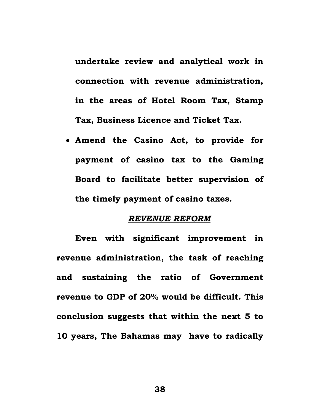**undertake review and analytical work in connection with revenue administration, in the areas of Hotel Room Tax, Stamp Tax, Business Licence and Ticket Tax.** 

• **Amend the Casino Act, to provide for payment of casino tax to the Gaming Board to facilitate better supervision of the timely payment of casino taxes.** 

## *REVENUE REFORM*

**Even with significant improvement in revenue administration, the task of reaching and sustaining the ratio of Government revenue to GDP of 20% would be difficult. This conclusion suggests that within the next 5 to 10 years, The Bahamas may have to radically**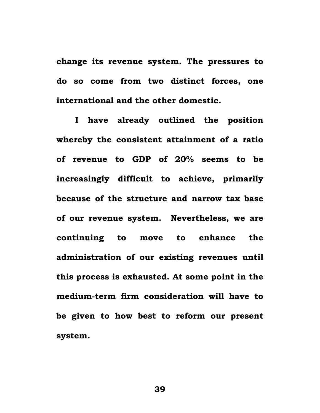**change its revenue system. The pressures to do so come from two distinct forces, one international and the other domestic.** 

**I have already outlined the position whereby the consistent attainment of a ratio of revenue to GDP of 20% seems to be increasingly difficult to achieve, primarily because of the structure and narrow tax base of our revenue system. Nevertheless, we are continuing to move to enhance the administration of our existing revenues until this process is exhausted. At some point in the medium-term firm consideration will have to be given to how best to reform our present system.**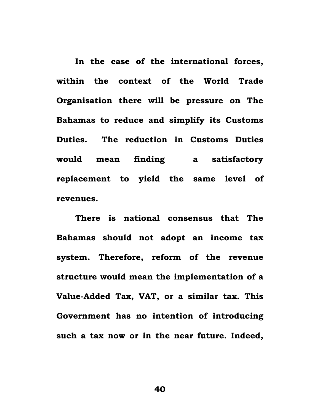**In the case of the international forces, within the context of the World Trade Organisation there will be pressure on The Bahamas to reduce and simplify its Customs Duties. The reduction in Customs Duties would mean finding a satisfactory replacement to yield the same level of revenues.** 

**There is national consensus that The Bahamas should not adopt an income tax system. Therefore, reform of the revenue structure would mean the implementation of a Value-Added Tax, VAT, or a similar tax. This Government has no intention of introducing such a tax now or in the near future. Indeed,**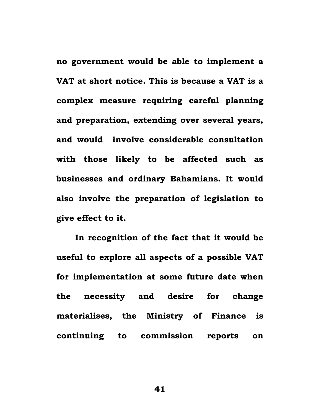**no government would be able to implement a VAT at short notice. This is because a VAT is a complex measure requiring careful planning and preparation, extending over several years, and would involve considerable consultation with those likely to be affected such as businesses and ordinary Bahamians. It would also involve the preparation of legislation to give effect to it.** 

**In recognition of the fact that it would be useful to explore all aspects of a possible VAT for implementation at some future date when the necessity and desire for change materialises, the Ministry of Finance is continuing to commission reports on**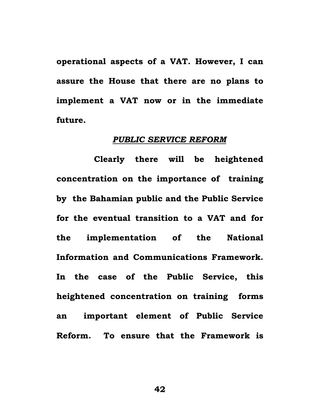**operational aspects of a VAT. However, I can assure the House that there are no plans to implement a VAT now or in the immediate future.** 

#### *PUBLIC SERVICE REFORM*

 **Clearly there will be heightened concentration on the importance of training by the Bahamian public and the Public Service for the eventual transition to a VAT and for the implementation of the National Information and Communications Framework. In the case of the Public Service, this heightened concentration on training forms an important element of Public Service Reform. To ensure that the Framework is**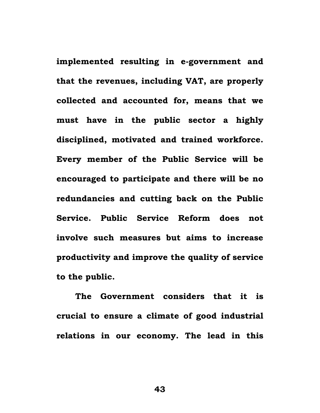**implemented resulting in e-government and that the revenues, including VAT, are properly collected and accounted for, means that we must have in the public sector a highly disciplined, motivated and trained workforce. Every member of the Public Service will be encouraged to participate and there will be no redundancies and cutting back on the Public Service. Public Service Reform does not involve such measures but aims to increase productivity and improve the quality of service to the public.** 

 **The Government considers that it is crucial to ensure a climate of good industrial relations in our economy. The lead in this**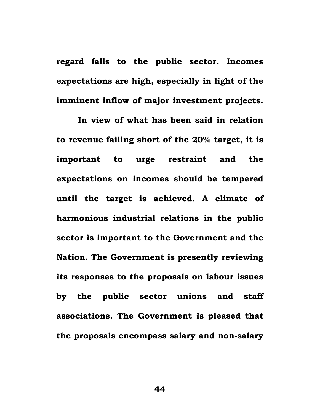**regard falls to the public sector. Incomes expectations are high, especially in light of the imminent inflow of major investment projects.** 

 **In view of what has been said in relation to revenue failing short of the 20% target, it is important to urge restraint and the expectations on incomes should be tempered until the target is achieved. A climate of harmonious industrial relations in the public sector is important to the Government and the Nation. The Government is presently reviewing its responses to the proposals on labour issues by the public sector unions and staff associations. The Government is pleased that the proposals encompass salary and non-salary**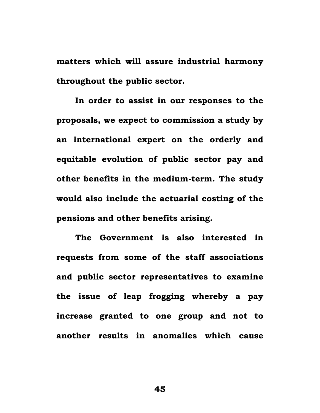**matters which will assure industrial harmony throughout the public sector.** 

**In order to assist in our responses to the proposals, we expect to commission a study by an international expert on the orderly and equitable evolution of public sector pay and other benefits in the medium-term. The study would also include the actuarial costing of the pensions and other benefits arising.** 

 **The Government is also interested in requests from some of the staff associations and public sector representatives to examine the issue of leap frogging whereby a pay increase granted to one group and not to another results in anomalies which cause**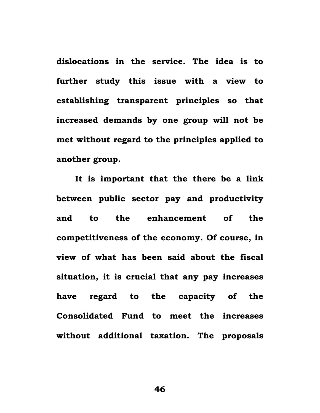**dislocations in the service. The idea is to further study this issue with a view to establishing transparent principles so that increased demands by one group will not be met without regard to the principles applied to another group.** 

 **It is important that the there be a link between public sector pay and productivity and to the enhancement of the competitiveness of the economy. Of course, in view of what has been said about the fiscal situation, it is crucial that any pay increases have regard to the capacity of the Consolidated Fund to meet the increases without additional taxation. The proposals**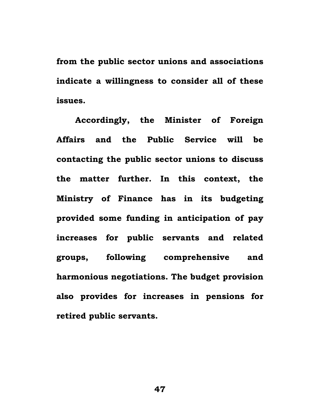**from the public sector unions and associations indicate a willingness to consider all of these issues.** 

 **Accordingly, the Minister of Foreign Affairs and the Public Service will be contacting the public sector unions to discuss the matter further. In this context, the Ministry of Finance has in its budgeting provided some funding in anticipation of pay increases for public servants and related groups, following comprehensive and harmonious negotiations. The budget provision also provides for increases in pensions for retired public servants.**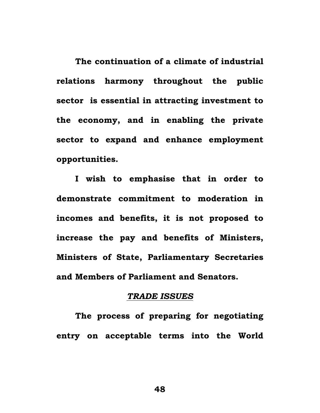**The continuation of a climate of industrial relations harmony throughout the public sector is essential in attracting investment to the economy, and in enabling the private sector to expand and enhance employment opportunities.** 

**I wish to emphasise that in order to demonstrate commitment to moderation in incomes and benefits, it is not proposed to increase the pay and benefits of Ministers, Ministers of State, Parliamentary Secretaries and Members of Parliament and Senators.** 

### *TRADE ISSUES*

**The process of preparing for negotiating entry on acceptable terms into the World**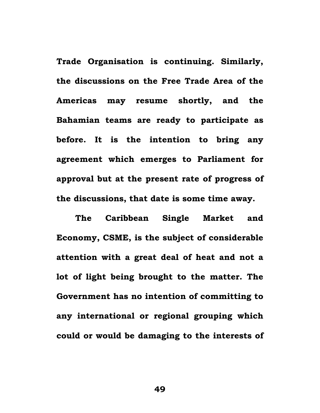**Trade Organisation is continuing. Similarly, the discussions on the Free Trade Area of the Americas may resume shortly, and the Bahamian teams are ready to participate as before. It is the intention to bring any agreement which emerges to Parliament for approval but at the present rate of progress of the discussions, that date is some time away.** 

**The Caribbean Single Market and Economy, CSME, is the subject of considerable attention with a great deal of heat and not a lot of light being brought to the matter. The Government has no intention of committing to any international or regional grouping which could or would be damaging to the interests of**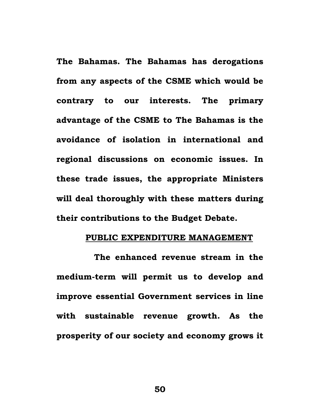**The Bahamas. The Bahamas has derogations from any aspects of the CSME which would be contrary to our interests. The primary advantage of the CSME to The Bahamas is the avoidance of isolation in international and regional discussions on economic issues. In these trade issues, the appropriate Ministers will deal thoroughly with these matters during their contributions to the Budget Debate.** 

### **PUBLIC EXPENDITURE MANAGEMENT**

 **The enhanced revenue stream in the medium-term will permit us to develop and improve essential Government services in line with sustainable revenue growth. As the prosperity of our society and economy grows it**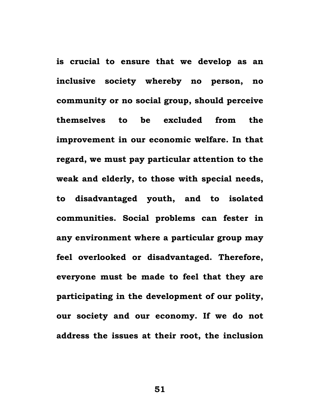**is crucial to ensure that we develop as an inclusive society whereby no person, no community or no social group, should perceive themselves to be excluded from the improvement in our economic welfare. In that regard, we must pay particular attention to the weak and elderly, to those with special needs, to disadvantaged youth, and to isolated communities. Social problems can fester in any environment where a particular group may feel overlooked or disadvantaged. Therefore, everyone must be made to feel that they are participating in the development of our polity, our society and our economy. If we do not address the issues at their root, the inclusion**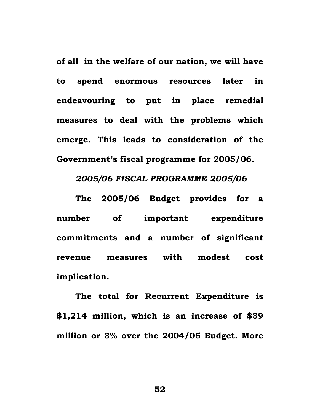**of all in the welfare of our nation, we will have to spend enormous resources later in endeavouring to put in place remedial measures to deal with the problems which emerge. This leads to consideration of the Government's fiscal programme for 2005/06.** 

# *2005/06 FISCAL PROGRAMME 2005/06*

 **The 2005/06 Budget provides for a number of important expenditure commitments and a number of significant revenue measures with modest cost implication.** 

 **The total for Recurrent Expenditure is \$1,214 million, which is an increase of \$39 million or 3% over the 2004/05 Budget. More**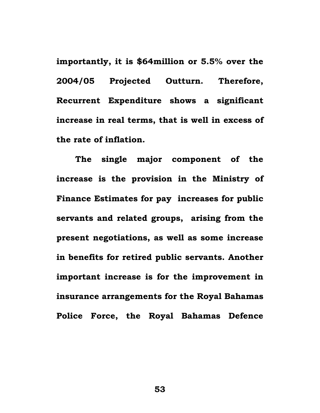**importantly, it is \$64million or 5.5% over the 2004/05 Projected Outturn. Therefore, Recurrent Expenditure shows a significant increase in real terms, that is well in excess of the rate of inflation.** 

**The single major component of the increase is the provision in the Ministry of Finance Estimates for pay increases for public servants and related groups, arising from the present negotiations, as well as some increase in benefits for retired public servants. Another important increase is for the improvement in insurance arrangements for the Royal Bahamas Police Force, the Royal Bahamas Defence**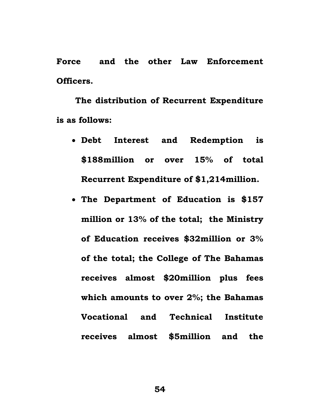**Force and the other Law Enforcement Officers.** 

 **The distribution of Recurrent Expenditure is as follows:** 

- **Debt Interest and Redemption is \$188million or over 15% of total Recurrent Expenditure of \$1,214million.**
- **The Department of Education is \$157 million or 13% of the total; the Ministry of Education receives \$32million or 3% of the total; the College of The Bahamas receives almost \$20million plus fees which amounts to over 2%; the Bahamas Vocational and Technical Institute receives almost \$5million and the**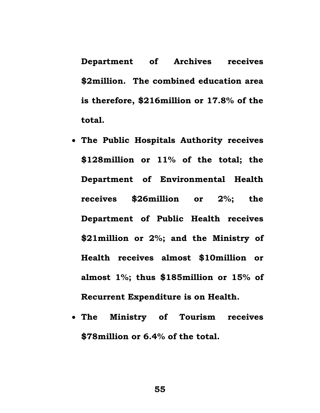**Department of Archives receives \$2million. The combined education area is therefore, \$216million or 17.8% of the total.** 

- **The Public Hospitals Authority receives \$128million or 11% of the total; the Department of Environmental Health receives \$26million or 2%; the Department of Public Health receives \$21million or 2%; and the Ministry of Health receives almost \$10million or almost 1%; thus \$185million or 15% of Recurrent Expenditure is on Health.**
- **The Ministry of Tourism receives \$78million or 6.4% of the total.**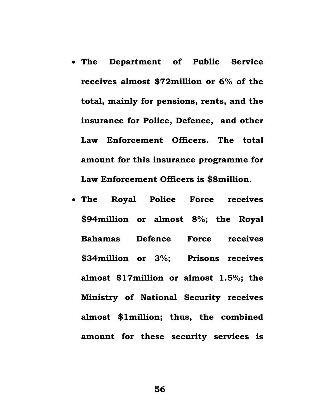- **The Department of Public Service receives almost \$72million or 6% of the total, mainly for pensions, rents, and the insurance for Police, Defence, and other Law Enforcement Officers. The total amount for this insurance programme for Law Enforcement Officers is \$8million.**
- **The Royal Police Force receives \$94million or almost 8%; the Royal Bahamas Defence Force receives \$34million or 3%; Prisons receives almost \$17million or almost 1.5%; the Ministry of National Security receives almost \$1million; thus, the combined amount for these security services is**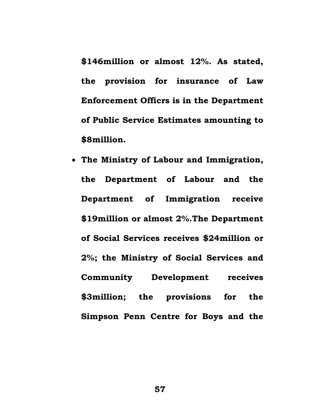**\$146million or almost 12%. As stated, the provision for insurance of Law Enforcement Officrs is in the Department of Public Service Estimates amounting to \$8million.** 

• **The Ministry of Labour and Immigration, the Department of Labour and the Department of Immigration receive \$19million or almost 2%.The Department of Social Services receives \$24million or 2%; the Ministry of Social Services and Community Development receives \$3million; the provisions for the Simpson Penn Centre for Boys and the**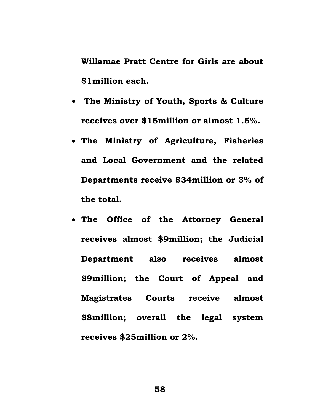**Willamae Pratt Centre for Girls are about \$1million each.** 

- • **The Ministry of Youth, Sports & Culture receives over \$15million or almost 1.5%.**
- **The Ministry of Agriculture, Fisheries and Local Government and the related Departments receive \$34million or 3% of the total.**
- **The Office of the Attorney General receives almost \$9million; the Judicial Department also receives almost \$9million; the Court of Appeal and Magistrates Courts receive almost \$8million; overall the legal system receives \$25million or 2%.**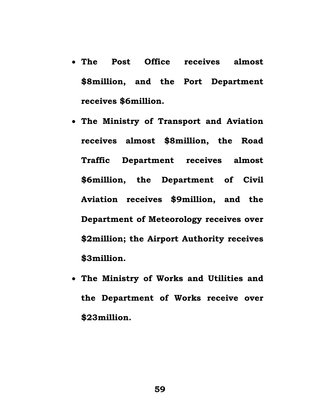- **The Post Office receives almost \$8million, and the Port Department receives \$6million.**
- **The Ministry of Transport and Aviation receives almost \$8million, the Road Traffic Department receives almost \$6million, the Department of Civil Aviation receives \$9million, and the Department of Meteorology receives over \$2million; the Airport Authority receives \$3million.**
- **The Ministry of Works and Utilities and the Department of Works receive over \$23million.**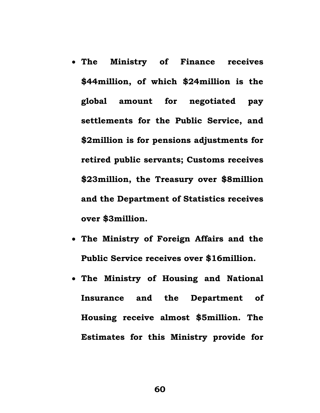- **The Ministry of Finance receives \$44million, of which \$24million is the global amount for negotiated pay settlements for the Public Service, and \$2million is for pensions adjustments for retired public servants; Customs receives \$23million, the Treasury over \$8million and the Department of Statistics receives over \$3million.**
- **The Ministry of Foreign Affairs and the Public Service receives over \$16million.**
- **The Ministry of Housing and National Insurance and the Department of Housing receive almost \$5million. The Estimates for this Ministry provide for**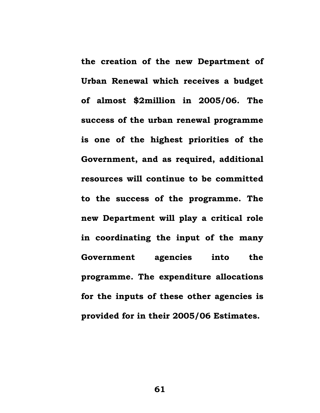**the creation of the new Department of Urban Renewal which receives a budget of almost \$2million in 2005/06. The success of the urban renewal programme is one of the highest priorities of the Government, and as required, additional resources will continue to be committed to the success of the programme. The new Department will play a critical role in coordinating the input of the many Government agencies into the programme. The expenditure allocations for the inputs of these other agencies is provided for in their 2005/06 Estimates.**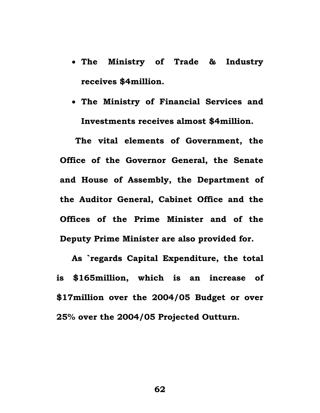- **The Ministry of Trade & Industry receives \$4million.**
- **The Ministry of Financial Services and Investments receives almost \$4million.**

**The vital elements of Government, the Office of the Governor General, the Senate and House of Assembly, the Department of the Auditor General, Cabinet Office and the Offices of the Prime Minister and of the Deputy Prime Minister are also provided for.** 

**As `regards Capital Expenditure, the total is \$165million, which is an increase of \$17million over the 2004/05 Budget or over 25% over the 2004/05 Projected Outturn.**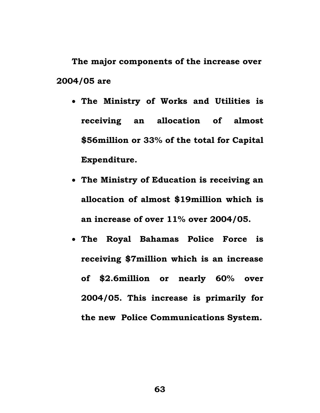**The major components of the increase over 2004/05 are** 

- **The Ministry of Works and Utilities is receiving an allocation of almost \$56million or 33% of the total for Capital Expenditure.**
- **The Ministry of Education is receiving an allocation of almost \$19million which is an increase of over 11% over 2004/05.**
- **The Royal Bahamas Police Force is receiving \$7million which is an increase of \$2.6million or nearly 60% over 2004/05. This increase is primarily for the new Police Communications System.**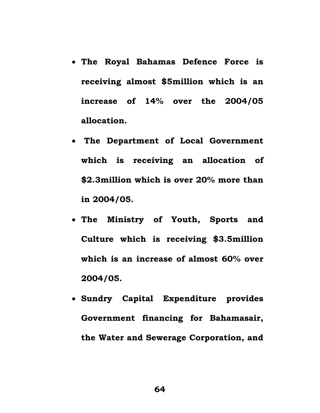- **The Royal Bahamas Defence Force is receiving almost \$5million which is an increase of 14% over the 2004/05 allocation.**
- • **The Department of Local Government which is receiving an allocation of \$2.3million which is over 20% more than in 2004/05.**
- **The Ministry of Youth, Sports and Culture which is receiving \$3.5million which is an increase of almost 60% over 2004/05.**
- **Sundry Capital Expenditure provides Government financing for Bahamasair, the Water and Sewerage Corporation, and**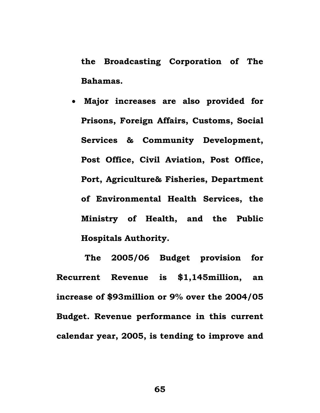**the Broadcasting Corporation of The Bahamas.** 

• **Major increases are also provided for Prisons, Foreign Affairs, Customs, Social Services & Community Development, Post Office, Civil Aviation, Post Office, Port, Agriculture& Fisheries, Department of Environmental Health Services, the Ministry of Health, and the Public Hospitals Authority.** 

 **The 2005/06 Budget provision for Recurrent Revenue is \$1,145million, an increase of \$93million or 9% over the 2004/05 Budget. Revenue performance in this current calendar year, 2005, is tending to improve and**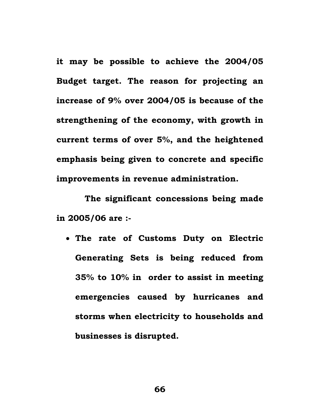**it may be possible to achieve the 2004/05 Budget target. The reason for projecting an increase of 9% over 2004/05 is because of the strengthening of the economy, with growth in current terms of over 5%, and the heightened emphasis being given to concrete and specific improvements in revenue administration.** 

 **The significant concessions being made in 2005/06 are :-** 

• **The rate of Customs Duty on Electric Generating Sets is being reduced from 35% to 10% in order to assist in meeting emergencies caused by hurricanes and storms when electricity to households and businesses is disrupted.**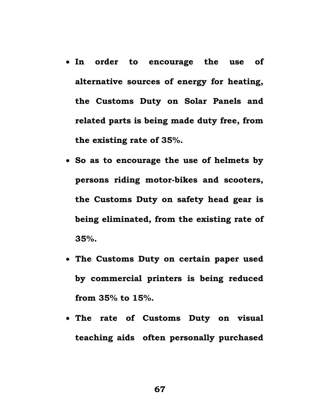- **In order to encourage the use of alternative sources of energy for heating, the Customs Duty on Solar Panels and related parts is being made duty free, from the existing rate of 35%.**
- **So as to encourage the use of helmets by persons riding motor-bikes and scooters, the Customs Duty on safety head gear is being eliminated, from the existing rate of 35%.**
- **The Customs Duty on certain paper used by commercial printers is being reduced from 35% to 15%.**
- **The rate of Customs Duty on visual teaching aids often personally purchased**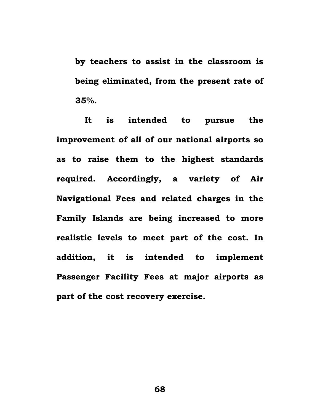**by teachers to assist in the classroom is being eliminated, from the present rate of 35%.** 

 **It is intended to pursue the improvement of all of our national airports so as to raise them to the highest standards required. Accordingly, a variety of Air Navigational Fees and related charges in the Family Islands are being increased to more realistic levels to meet part of the cost. In addition, it is intended to implement Passenger Facility Fees at major airports as part of the cost recovery exercise.**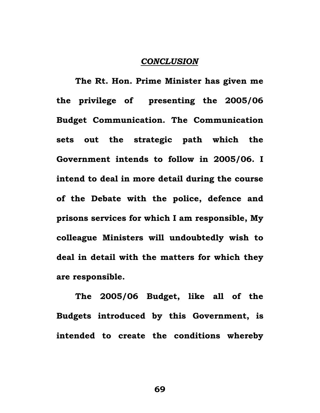### *CONCLUSION*

**The Rt. Hon. Prime Minister has given me the privilege of presenting the 2005/06 Budget Communication. The Communication sets out the strategic path which the Government intends to follow in 2005/06. I intend to deal in more detail during the course of the Debate with the police, defence and prisons services for which I am responsible, My colleague Ministers will undoubtedly wish to deal in detail with the matters for which they are responsible.** 

**The 2005/06 Budget, like all of the Budgets introduced by this Government, is intended to create the conditions whereby**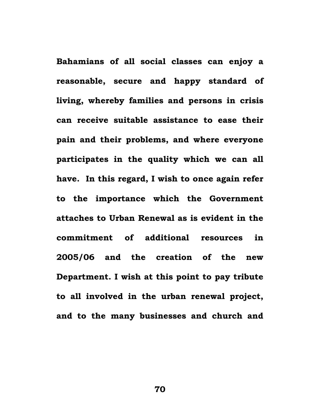**Bahamians of all social classes can enjoy a reasonable, secure and happy standard of living, whereby families and persons in crisis can receive suitable assistance to ease their pain and their problems, and where everyone participates in the quality which we can all have. In this regard, I wish to once again refer to the importance which the Government attaches to Urban Renewal as is evident in the commitment of additional resources in 2005/06 and the creation of the new Department. I wish at this point to pay tribute to all involved in the urban renewal project, and to the many businesses and church and**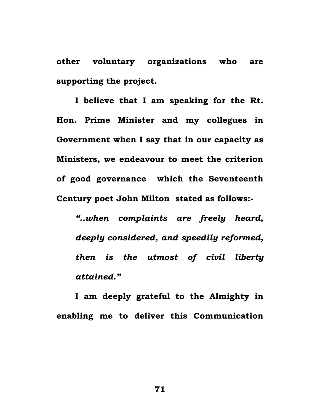**other voluntary organizations who are supporting the project.** 

**I believe that I am speaking for the Rt. Hon. Prime Minister and my collegues in Government when I say that in our capacity as Ministers, we endeavour to meet the criterion of good governance which the Seventeenth Century poet John Milton stated as follows:-** 

*"..when complaints are freely heard, deeply considered, and speedily reformed, then is the utmost of civil liberty attained."* 

**I am deeply grateful to the Almighty in enabling me to deliver this Communication**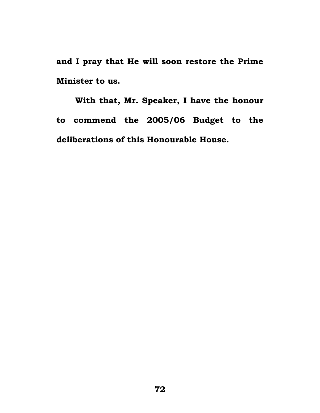**and I pray that He will soon restore the Prime Minister to us.** 

**With that, Mr. Speaker, I have the honour to commend the 2005/06 Budget to the deliberations of this Honourable House.**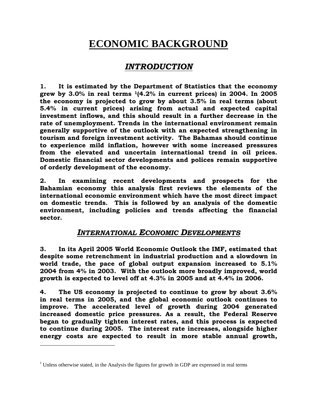# **ECONOMIC BACKGROUND**

## *INTRODUCTION*

**1. It is estimated by the Department of Statistics that the economy grew by 3.0% in real terms 1(4.2% in current prices) in 2004. In 2005 the economy is projected to grow by about 3.5% in real terms (about 5.4% in current prices) arising from actual and expected capital investment inflows, and this should result in a further decrease in the rate of unemployment. Trends in the international environment remain generally supportive of the outlook with an expected strengthening in tourism and foreign investment activity. The Bahamas should continue to experience mild inflation, however with some increased pressures from the elevated and uncertain international trend in oil prices. Domestic financial sector developments and polices remain supportive of orderly development of the economy.** 

**2. In examining recent developments and prospects for the Bahamian economy this analysis first reviews the elements of the international economic environment which have the most direct impact on domestic trends. This is followed by an analysis of the domestic environment, including policies and trends affecting the financial sector.** 

## *INTERNATIONAL ECONOMIC DEVELOPMENTS*

**3. In its April 2005 World Economic Outlook the IMF, estimated that despite some retrenchment in industrial production and a slowdown in world trade, the pace of global output expansion increased to 5.1% 2004 from 4% in 2003. With the outlook more broadly improved, world growth is expected to level off at 4.3% in 2005 and at 4.4% in 2006.** 

**4. The US economy is projected to continue to grow by about 3.6% in real terms in 2005, and the global economic outlook continues to improve. The accelerated level of growth during 2004 generated increased domestic price pressures. As a result, the Federal Reserve began to gradually tighten interest rates, and this process is expected to continue during 2005. The interest rate increases, alongside higher energy costs are expected to result in more stable annual growth,** 

1

 $1$  Unless otherwise stated, in the Analysis the figures for growth in GDP are expressed in real terms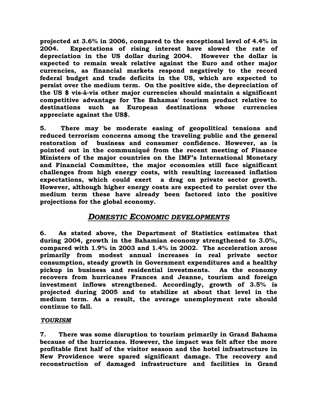**projected at 3.6% in 2006, compared to the exceptional level of 4.4% in 2004. Expectations of rising interest have slowed the rate of depreciation in the US dollar during 2004. However the dollar is expected to remain weak relative against the Euro and other major currencies, as financial markets respond negatively to the record federal budget and trade deficits in the US, which are expected to persist over the medium term. On the positive side, the depreciation of the US \$ vis-à-vis other major currencies should maintain a significant competitive advantage for The Bahamas' tourism product relative to destinations such as European destinations whose currencies appreciate against the US\$.** 

**5. There may be moderate easing of geopolitical tensions and reduced terrorism concerns among the traveling public and the general restoration of business and consumer confidence. However, as is pointed out in the communiqué from the recent meeting of Finance Ministers of the major countries on the IMF's International Monetary and Financial Committee, the major economies still face significant challenges from high energy costs, with resulting increased inflation expectations, which could exert a drag on private sector growth. However, although higher energy costs are expected to persist over the medium term these have already been factored into the positive projections for the global economy.** 

## *DOMESTIC ECONOMIC DEVELOPMENTS*

**6. As stated above, the Department of Statistics estimates that during 2004, growth in the Bahamian economy strengthened to 3.0%, compared with 1.9% in 2003 and 1.4% in 2002. The acceleration arose primarily from modest annual increases in real private sector consumption, steady growth in Government expenditures and a healthy pickup in business and residential investments. As the economy recovers from hurricanes Frances and Jeanne, tourism and foreign investment inflows strengthened. Accordingly, growth of 3.5% is projected during 2005 and to stabilize at about that level in the medium term. As a result, the average unemployment rate should continue to fall.** 

#### *TOURISM*

**7. There was some disruption to tourism primarily in Grand Bahama because of the hurricanes. However, the impact was felt after the more profitable first half of the visitor season and the hotel infrastructure in New Providence were spared significant damage. The recovery and reconstruction of damaged infrastructure and facilities in Grand**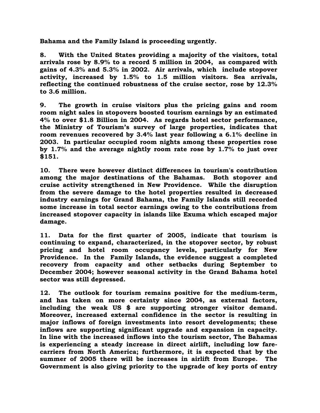**Bahama and the Family Island is proceeding urgently.** 

**8. With the United States providing a majority of the visitors, total arrivals rose by 8.9% to a record 5 million in 2004, as compared with gains of 4.3% and 5.3% in 2002. Air arrivals, which include stopover activity, increased by 1.5% to 1.5 million visitors. Sea arrivals, reflecting the continued robustness of the cruise sector, rose by 12.3% to 3.6 million.** 

**9. The growth in cruise visitors plus the pricing gains and room room night sales in stopovers boosted tourism earnings by an estimated 4% to over \$1.8 Billion in 2004. As regards hotel sector performance, the Ministry of Tourism's survey of large properties, indicates that room revenues recovered by 3.4% last year following a 6.1% decline in 2003. In particular occupied room nights among these properties rose by 1.7% and the average nightly room rate rose by 1.7% to just over \$151.** 

**10. There were however distinct differences in tourism's contribution among the major destinations of the Bahamas. Both stopover and cruise activity strengthened in New Providence. While the disruption from the severe damage to the hotel properties resulted in decreased industry earnings for Grand Bahama, the Family Islands still recorded some increase in total sector earnings owing to the contributions from increased stopover capacity in islands like Exuma which escaped major damage.** 

**11. Data for the first quarter of 2005, indicate that tourism is continuing to expand, characterized, in the stopover sector, by robust pricing and hotel room occupancy levels, particularly for New Providence. In the Family Islands, the evidence suggest a completed recovery from capacity and other setbacks during September to December 2004; however seasonal activity in the Grand Bahama hotel sector was still depressed.** 

**12. The outlook for tourism remains positive for the medium-term, and has taken on more certainty since 2004, as external factors, including the weak US \$ are supporting stronger visitor demand. Moreover, increased external confidence in the sector is resulting in major inflows of foreign investments into resort developments; these inflows are supporting significant upgrade and expansion in capacity. In line with the increased inflows into the tourism sector, The Bahamas is experiencing a steady increase in direct airlift, including low farecarriers from North America; furthermore, it is expected that by the summer of 2005 there will be increases in airlift from Europe. The Government is also giving priority to the upgrade of key ports of entry**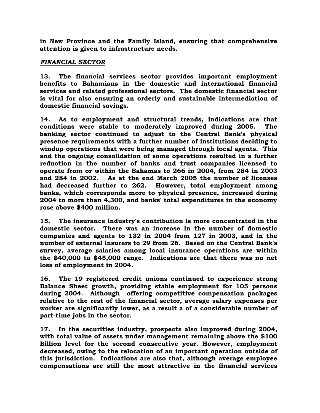**in New Province and the Family Island, ensuring that comprehensive attention is given to infrastructure needs.** 

#### *FINANCIAL SECTOR*

**13. The financial services sector provides important employment benefits to Bahamians in the domestic and international financial services and related professional sectors. The domestic financial sector is vital for also ensuring an orderly and sustainable intermediation of domestic financial savings.** 

**14. As to employment and structural trends, indications are that conditions were stable to moderately improved during 2005. The banking sector continued to adjust to the Central Bank's physical presence requirements with a further number of institutions deciding to windup operations that were being managed through local agents. This and the ongoing consolidation of some operations resulted in a further reduction in the number of banks and trust companies licensed to operate from or within the Bahamas to 266 in 2004, from 284 in 2003 and 284 in 2002. As at the end March 2005 the number of licenses had decreased further to 262. However, total employment among banks, which corresponds more to physical presence, increased during 2004 to more than 4,300, and banks' total expenditures in the economy rose above \$400 million.** 

**15. The insurance industry's contribution is more concentrated in the domestic sector. There was an increase in the number of domestic companies and agents to 132 in 2004 from 127 in 2003, and in the number of external insurers to 29 from 26. Based on the Central Bank's survey, average salaries among local insurance operations are within the \$40,000 to \$45,000 range. Indications are that there was no net loss of employment in 2004.** 

**16. The 19 registered credit unions continued to experience strong Balance Sheet growth, providing stable employment for 105 persons during 2004. Although offering competitive compensation packages relative to the rest of the financial sector, average salary expenses per worker are significantly lower, as a result a of a considerable number of part-time jobs in the sector.** 

**17. In the securities industry, prospects also improved during 2004, with total value of assets under management remaining above the \$100 Billion level for the second consecutive year. However, employment decreased, owing to the relocation of an important operation outside of this jurisdiction. Indications are also that, although average employee compensations are still the most attractive in the financial services**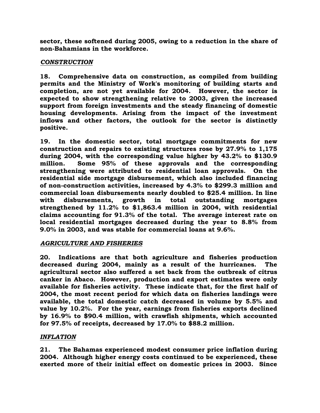**sector, these softened during 2005, owing to a reduction in the share of non-Bahamians in the workforce.** 

#### *CONSTRUCTION*

**18. Comprehensive data on construction, as compiled from building permits and the Ministry of Work's monitoring of building starts and completion, are not yet available for 2004. However, the sector is expected to show strengthening relative to 2003, given the increased support from foreign investments and the steady financing of domestic housing developments. Arising from the impact of the investment inflows and other factors, the outlook for the sector is distinctly positive.** 

**19. In the domestic sector, total mortgage commitments for new construction and repairs to existing structures rose by 27.9% to 1,175 during 2004, with the corresponding value higher by 43.2% to \$130.9 million. Some 95% of these approvals and the corresponding strengthening were attributed to residential loan approvals. On the residential side mortgage disbursement, which also included financing of non-construction activities, increased by 4.3% to \$299.3 million and commercial loan disbursements nearly doubled to \$25.4 million. In line with disbursements, growth in total outstanding mortgages strengthened by 11.2% to \$1,863.4 million in 2004, with residential claims accounting for 91.3% of the total. The average interest rate on local residential mortgages decreased during the year to 8.8% from 9.0% in 2003, and was stable for commercial loans at 9.6%.** 

### *AGRICULTURE AND FISHERIES*

**20. Indications are that both agriculture and fisheries production decreased during 2004, mainly as a result of the hurricanes. The agricultural sector also suffered a set back from the outbreak of citrus canker in Abaco. However, production and export estimates were only available for fisheries activity. These indicate that, for the first half of 2004, the most recent period for which data on fisheries landings were available, the total domestic catch decreased in volume by 5.5% and value by 10.2%. For the year, earnings from fisheries exports declined by 16.9% to \$90.4 million, with crawfish shipments, which accounted for 97.5% of receipts, decreased by 17.0% to \$88.2 million.** 

### *INFLATION*

**21. The Bahamas experienced modest consumer price inflation during 2004. Although higher energy costs continued to be experienced, these exerted more of their initial effect on domestic prices in 2003. Since**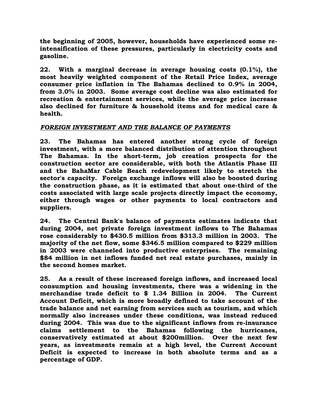**the beginning of 2005, however, households have experienced some reintensification of these pressures, particularly in electricity costs and gasoline.** 

**22. With a marginal decrease in average housing costs (0.1%), the most heavily weighted component of the Retail Price Index, average consumer price inflation in The Bahamas declined to 0.9% in 2004, from 3.0% in 2003. Some average cost decline was also estimated for recreation & entertainment services, while the average price increase also declined for furniture & household items and for medical care & health.** 

#### *FOREIGN INVESTMENT AND THE BALANCE OF PAYMENTS*

**23. The Bahamas has entered another strong cycle of foreign investment, with a more balanced distribution of attention throughout The Bahamas. In the short-term, job creation prospects for the construction sector are considerable, with both the Atlantis Phase III and the BahaMar Cable Beach redevelopment likely to stretch the sector's capacity. Foreign exchange inflows will also be boosted during the construction phase, as it is estimated that about one-third of the costs associated with large scale projects directly impact the economy, either through wages or other payments to local contractors and suppliers.** 

**24. The Central Bank's balance of payments estimates indicate that during 2004, net private foreign investment inflows to The Bahamas rose considerably to \$430.5 million from \$313.3 million in 2003. The majority of the net flow, some \$346.5 million compared to \$229 million in 2003 were channeled into productive enterprises. The remaining \$84 million in net inflows funded net real estate purchases, mainly in the second homes market.** 

**25. As a result of these increased foreign inflows, and increased local consumption and housing investments, there was a widening in the merchandise trade deficit to \$ 1.34 Billion in 2004. The Current Account Deficit, which is more broadly defined to take account of the trade balance and net earning from services such as tourism, and which normally also increases under these conditions, was instead reduced during 2004. This was due to the significant inflows from re-insurance claims settlement to the Bahamas following the hurricanes, conservatively estimated at about \$200million. Over the next few years, as investments remain at a high level, the Current Account Deficit is expected to increase in both absolute terms and as a percentage of GDP.**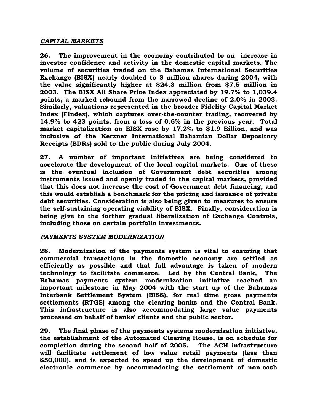#### *CAPITAL MARKETS*

**26. The improvement in the economy contributed to an increase in investor confidence and activity in the domestic capital markets. The volume of securities traded on the Bahamas International Securities Exchange (BISX) nearly doubled to 8 million shares during 2004, with the value significantly higher at \$24.3 million from \$7.5 million in 2003. The BISX All Share Price Index appreciated by 19.7% to 1,039.4 points, a marked rebound from the narrowed decline of 2.0% in 2003. Similarly, valuations represented in the broader Fidelity Capital Market Index (Findex), which captures over-the-counter trading, recovered by 14.9% to 423 points, from a loss of 0.6% in the previous year. Total market capitalization on BISX rose by 17.2% to \$1.9 Billion, and was inclusive of the Kerzner International Bahamian Dollar Depository Receipts (BDRs) sold to the public during July 2004.** 

**27. A number of important initiatives are being considered to accelerate the development of the local capital markets. One of these is the eventual inclusion of Government debt securities among instruments issued and openly traded in the capital markets, provided that this does not increase the cost of Government debt financing, and this would establish a benchmark for the pricing and issuance of private debt securities. Consideration is also being given to measures to ensure the self-sustaining operating viability of BISX. Finally, consideration is being give to the further gradual liberalization of Exchange Controls, including those on certain portfolio investments.** 

#### *PAYMENTS SYSTEM MODERNIZATION*

**28. Modernization of the payments system is vital to ensuring that commercial transactions in the domestic economy are settled as efficiently as possible and that full advantage is taken of modern technology to facilitate commerce. Led by the Central Bank, The Bahamas payments system modernization initiative reached an important milestone in May 2004 with the start up of the Bahamas Interbank Settlement System (BISS), for real time gross payments settlements (RTGS) among the clearing banks and the Central Bank. This infrastructure is also accommodating large value payments processed on behalf of banks' clients and the public sector.** 

**29. The final phase of the payments systems modernization initiative, the establishment of the Automated Clearing House, is on schedule for completion during the second half of 2005. The ACH infrastructure will facilitate settlement of low value retail payments (less than \$50,000), and is expected to speed up the development of domestic electronic commerce by accommodating the settlement of non-cash**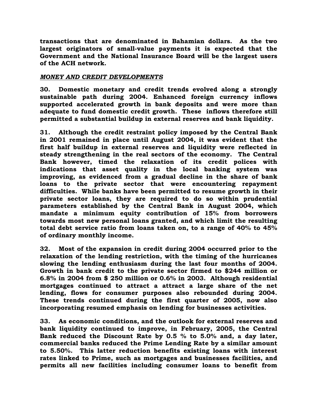**transactions that are denominated in Bahamian dollars. As the two largest originators of small-value payments it is expected that the Government and the National Insurance Board will be the largest users of the ACH network.** 

#### *MONEY AND CREDIT DEVELOPMENTS*

**30. Domestic monetary and credit trends evolved along a strongly sustainable path during 2004. Enhanced foreign currency inflows supported accelerated growth in bank deposits and were more than adequate to fund domestic credit growth. These inflows therefore still permitted a substantial buildup in external reserves and bank liquidity.** 

**31. Although the credit restraint policy imposed by the Central Bank in 2001 remained in place until August 2004, it was evident that the first half buildup in external reserves and liquidity were reflected in steady strengthening in the real sectors of the economy. The Central Bank however, timed the relaxation of its credit polices with indications that asset quality in the local banking system was improving, as evidenced from a gradual decline in the share of bank loans to the private sector that were encountering repayment difficulties. While banks have been permitted to resume growth in their private sector loans, they are required to do so within prudential parameters established by the Central Bank in August 2004, which mandate a minimum equity contribution of 15% from borrowers towards most new personal loans granted, and which limit the resulting total debt service ratio from loans taken on, to a range of 40% to 45% of ordinary monthly income.** 

**32. Most of the expansion in credit during 2004 occurred prior to the relaxation of the lending restriction, with the timing of the hurricanes slowing the lending enthusiasm during the last four months of 2004. Growth in bank credit to the private sector firmed to \$244 million or 6.8% in 2004 from \$ 250 million or 0.6% in 2003. Although residential mortgages continued to attract a attract a large share of the net lending, flows for consumer purposes also rebounded during 2004. These trends continued during the first quarter of 2005, now also incorporating resumed emphasis on lending for businesses activities.** 

**33. As economic conditions, and the outlook for external reserves and bank liquidity continued to improve, in February, 2005, the Central Bank reduced the Discount Rate by 0.5 % to 5.0% and, a day later, commercial banks reduced the Prime Lending Rate by a similar amount to 5.50%. This latter reduction benefits existing loans with interest rates linked to Prime, such as mortgages and businesses facilities, and permits all new facilities including consumer loans to benefit from**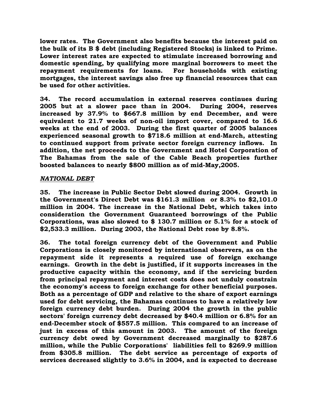**lower rates. The Government also benefits because the interest paid on the bulk of its B \$ debt (including Registered Stocks) is linked to Prime. Lower interest rates are expected to stimulate increased borrowing and domestic spending, by qualifying more marginal borrowers to meet the repayment requirements for loans. For households with existing mortgages, the interest savings also free up financial resources that can be used for other activities.** 

**34. The record accumulation in external reserves continues during 2005 but at a slower pace than in 2004. During 2004, reserves increased by 37.9% to \$667.8 million by end December, and were equivalent to 21.7 weeks of non-oil import cover, compared to 16.6 weeks at the end of 2003. During the first quarter of 2005 balances experienced seasonal growth to \$718.6 million at end-March, attesting to continued support from private sector foreign currency inflows. In addition, the net proceeds to the Government and Hotel Corporation of The Bahamas from the sale of the Cable Beach properties further boosted balances to nearly \$800 million as of mid-May,2005.** 

#### *NATIONAL DEBT*

**35. The increase in Public Sector Debt slowed during 2004. Growth in the Government's Direct Debt was \$161.3 million or 8.3% to \$2,101.0 million in 2004. The increase in the National Debt, which takes into consideration the Government Guaranteed borrowings of the Public Corporations, was also slowed to \$ 130.7 million or 5.1% for a stock of \$2,533.3 million. During 2003, the National Debt rose by 8.8%.** 

**36. The total foreign currency debt of the Government and Public Corporations is closely monitored by international observers, as on the repayment side it represents a required use of foreign exchange earnings. Growth in the debt is justified, if it supports increases in the productive capacity within the economy, and if the servicing burden from principal repayment and interest costs does not unduly constrain the economy's access to foreign exchange for other beneficial purposes. Both as a percentage of GDP and relative to the share of export earnings used for debt servicing, the Bahamas continues to have a relatively low foreign currency debt burden. During 2004 the growth in the public sectors' foreign currency debt decreased by \$40.4 million or 6.8% for an end-December stock of \$557.5 million. This compared to an increase of just in excess of this amount in 2003. The amount of the foreign currency debt owed by Government decreased marginally to \$287.6 million, while the Public Corporations' liabilities fell to \$269.9 million from \$305.8 million. The debt service as percentage of exports of services decreased slightly to 3.6% in 2004, and is expected to decrease**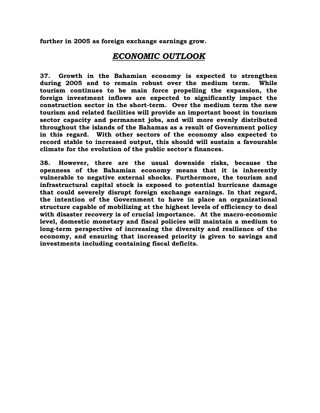**further in 2005 as foreign exchange earnings grow.** 

## *ECONOMIC OUTLOOK*

**37. Growth in the Bahamian economy is expected to strengthen during 2005 and to remain robust over the medium term. While tourism continues to be main force propelling the expansion, the foreign investment inflows are expected to significantly impact the construction sector in the short-term. Over the medium term the new tourism and related facilities will provide an important boost in tourism sector capacity and permanent jobs, and will more evenly distributed throughout the islands of the Bahamas as a result of Government policy in this regard. With other sectors of the economy also expected to record stable to increased output, this should will sustain a favourable climate for the evolution of the public sector's finances.** 

**38. However, there are the usual downside risks, because the openness of the Bahamian economy means that it is inherently vulnerable to negative external shocks. Furthermore, the tourism and infrastructural capital stock is exposed to potential hurricane damage that could severely disrupt foreign exchange earnings. In that regard, the intention of the Government to have in place an organizational structure capable of mobilizing at the highest levels of efficiency to deal with disaster recovery is of crucial importance. At the macro-economic level, domestic monetary and fiscal policies will maintain a medium to long-term perspective of increasing the diversity and resilience of the economy, and ensuring that increased priority is given to savings and investments including containing fiscal deficits.**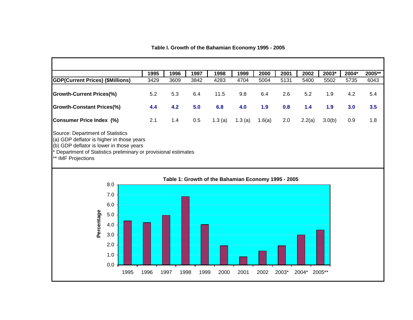**1995 1996 1997 1998 1999 2000 2001 2002 2003\* 2004\* 2005\*\* GDP(Current Prices) (\$Millions)** 3429 3609 3842 4283 4704 5004 5131 5400 5502 5735 6043 **Growth-Current Prices(%)** 5.2 5.3 6.4 11.5 9.8 6.4 2.6 5.2 1.9 4.2 5.4 **Growth-Constant Prices(%) 4.4 4.2 5.0 6.8 4.0 1.9 0.8 1.4 1.9 3.0 3.5 Consumer Price Index (%)** 2.1 1.4 0.5 1.3 (a) 1.3 (a) 1.6(a) 2.0 2.2(a) 3.0(b) 0.9 1.8 Source: Department of Statistics (a) GDP deflator is higher in those years (b) GDP deflator is lower in those years Department of Statistics preliminary or provisional estimates \*\* IMF Projections **Table 1: Growth of the Bahamian Economy 1995 - 2005** 8.0 7.0 6.0 Percentage **Percentage**5.0 4.0 3.0 2.0 1.0 0.0 1995 1996 1997 1998 1999 2000 2001 2002 2003\* 2004\* 2005\*\*

**Table I. Growth of the Bahamian Economy 1995 - 2005**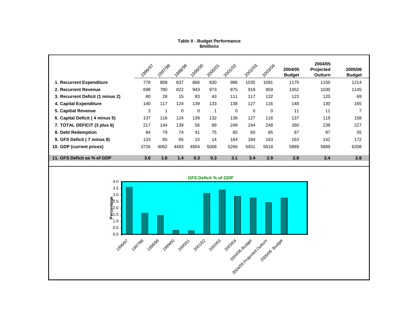#### **\$millions Table II - Budget Performance**

|                                                                                                                                                                                    | 1996/97 | 1997/98      | 1-998199    | 1999100     | 2000101     | 2001/02     | 2021/03  | 2003/04     | 2004/05<br><b>Budget</b> | 2004/05<br>Projected<br>Outturn | 2005/06<br><b>Budget</b> |
|------------------------------------------------------------------------------------------------------------------------------------------------------------------------------------|---------|--------------|-------------|-------------|-------------|-------------|----------|-------------|--------------------------|---------------------------------|--------------------------|
| 1. Recurrent Expenditure                                                                                                                                                           | 778     | 808          | 837         | 866         | 930         | 986         | 1035     | 1091        | 1175                     | 1150                            | 1214                     |
| 2. Recurrent Revenue                                                                                                                                                               | 698     | 780          | 822         | 943         | 973         | 875         | 918      | 959         | 1052                     | 1030                            | 1145                     |
| 3. Recurrent Deficit (1 minus 2)                                                                                                                                                   | 80      | 28           | 15          | 83          | 43          | 111         | 117      | 132         | 123                      | 120                             | 69                       |
| 4. Capital Expenditure                                                                                                                                                             | 140     | 117          | 124         | 139         | 133         | 138         | 127      | 116         | 148                      | 130                             | 165                      |
| 5. Capitial Revenue                                                                                                                                                                | 3       | $\mathbf{1}$ | $\mathbf 0$ | $\mathbf 0$ | $\mathbf 1$ | $\mathbf 0$ | $\Omega$ | $\mathbf 0$ | 11                       | 11                              | $\overline{7}$           |
| 6. Capital Deficit (4 minus 5)                                                                                                                                                     | 137     | 116          | 124         | 139         | 132         | 138         | 127      | 116         | 137                      | 119                             | 158                      |
| 7. TOTAL DEFICIT (3 plus 6)                                                                                                                                                        | 217     | 144          | 139         | 56          | 89          | 249         | 244      | 248         | 260                      | 239                             | 227                      |
| 8. Debt Redemption                                                                                                                                                                 | 84      | 79           | 74          | 41          | 75          | 85          | 60       | 85          | 97                       | 97                              | 55                       |
| 9. GFS Deficit (7 minus 8)                                                                                                                                                         | 133     | 65           | 65          | 15          | 14          | 164         | 184      | 163         | 163                      | 142                             | 172                      |
| 10. GDP (current prices)                                                                                                                                                           | 3726    | 4062         | 4493        | 4854        | 5068        | 5266        | 5451     | 5618        | 5889                     | 5889                            | 6208                     |
| 11. GFS Deficit as % of GDP                                                                                                                                                        | 3.6     | 1.6          | $1.4$       | 0.3         | 0.3         | 3.1         | 3.4      | 2.9         | 2.8                      | 2.4                             | 2.8                      |
|                                                                                                                                                                                    |         |              |             |             |             |             |          |             |                          |                                 |                          |
| <b>GFS Deficit % of GDP</b><br>4.0<br>3.5<br>Percentage<br>$\frac{3.0}{2.5}$<br>$\frac{3.0}{2.5}$<br>1.0<br>0.5<br>$0.0 -$<br>1996/97<br>1997/98 1999 1999/00 2000 20102<br>202103 |         |              |             |             |             |             |          |             |                          |                                 |                          |
| zooslove sudeed Oxturn sudeed                                                                                                                                                      |         |              |             |             |             |             |          |             |                          |                                 |                          |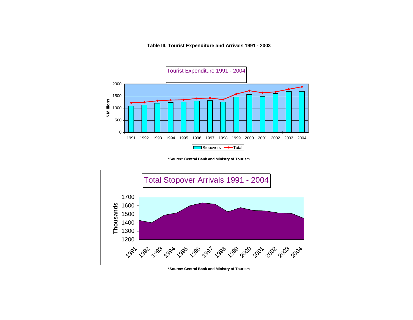**Table III. Tourist Expenditure and Arrivals 1991 - 2003**



**\*Source: Central Bank and Ministry of Tourism**



**<sup>\*</sup>Source: Central Bank and Ministry of Tourism**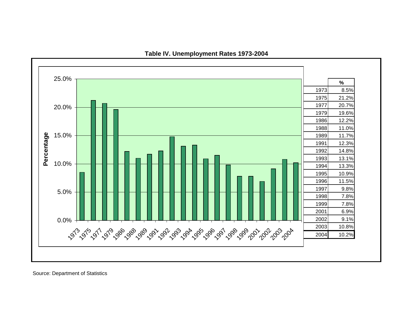

**Table IV. Unemployment Rates 1973-2004**

Source: Department of Statistics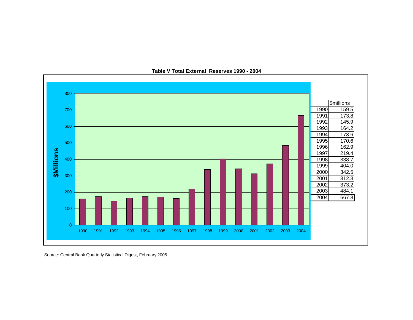

**Table V Total External Reserves 1990 - 2004**

Source: Central Bank Quarterly Statistical Digest, February 2005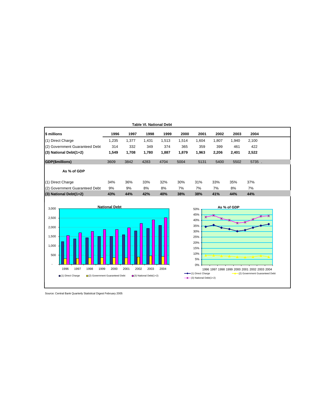| <b>Table VI. National Debt</b> |       |       |       |       |       |       |       |       |       |  |
|--------------------------------|-------|-------|-------|-------|-------|-------|-------|-------|-------|--|
| \$ millions                    | 1996  | 1997  | 1998  | 1999  | 2000  | 2001  | 2002  | 2003  | 2004  |  |
| (1) Direct Charge              | 1,235 | 1,377 | 1,431 | 1,513 | 1,514 | 1,604 | 1,807 | 1,940 | 2,100 |  |
| (2) Government Guaranteed Debt | 314   | 332   | 349   | 374   | 365   | 359   | 399   | 461   | 422   |  |
| $(3)$ National Debt $(1+2)$    | 1,549 | 1,708 | 1,780 | 1,887 | 1,879 | 1,963 | 2,206 | 2,401 | 2,522 |  |
| <b>GDP(\$millions)</b>         | 3609  | 3842  | 4283  | 4704  | 5004  | 5131  | 5400  | 5502  | 5735. |  |
| As % of GDP                    |       |       |       |       |       |       |       |       |       |  |
| (1) Direct Charge              | 34%   | 36%   | 33%   | 32%   | 30%   | 31%   | 33%   | 35%   | 37%   |  |
| (2) Government Guaranteed Debt | 9%    | 9%    | 8%    | 8%    | 7%    | 7%    | 7%    | 8%    | 7%    |  |
| (3) National Debt(1+2)         | 43%   | 44%   | 42%   | 40%   | 38%   | 38%   | 41%   | 44%   | 44%   |  |





Source: Central Bank Quarterly Statistical Digest February 2005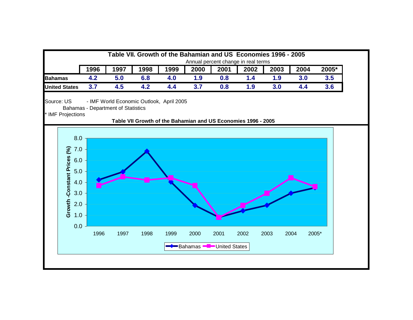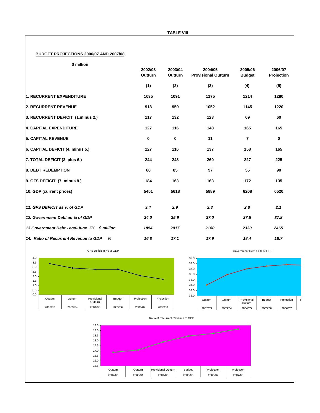#### **BUDGET PROJECTIONS 2006/07 AND 2007/08**

| million |
|---------|
|         |

|                                             | 2002/03<br>Outturn | 2003/04<br>Outturn | 2004/05<br><b>Provisional Outturn</b> | 2005/06<br><b>Budget</b> | 2006/07<br>Projection |
|---------------------------------------------|--------------------|--------------------|---------------------------------------|--------------------------|-----------------------|
|                                             | (1)                | (2)                | (3)                                   | (4)                      | (5)                   |
| 1. RECURRENT EXPENDITURE                    | 1035               | 1091               | 1175                                  | 1214                     | 1280                  |
| 2. RECURRENT REVENUE                        | 918                | 959                | 1052                                  | 1145                     | 1220                  |
| 3. RECURRENT DEFICIT (1.minus 2.)           | 117                | 132                | 123                                   | 69                       | 60                    |
| 4. CAPITAL EXPENDITURE                      | 127                | 116                | 148                                   | 165                      | 165                   |
| <b>5. CAPITAL REVENUE</b>                   | 0                  | $\mathbf 0$        | 11                                    | 7                        | 0                     |
| 6. CAPITAL DEFICIT (4. minus 5.)            | 127                | 116                | 137                                   | 158                      | 165                   |
| 7. TOTAL DEFICIT (3. plus 6.)               | 244                | 248                | 260                                   | 227                      | 225                   |
| <b>8. DEBT REDEMPTION</b>                   | 60                 | 85                 | 97                                    | 55                       | 90                    |
| 9. GFS DEFICIT (7. minus 8.)                | 184                | 163                | 163                                   | 172                      | 135                   |
| 10. GDP (current prices)                    | 5451               | 5618               | 5889                                  | 6208                     | 6520                  |
| 11. GFS DEFICIT as % of GDP                 | 3.4                | 2.9                | 2.8                                   | 2.8                      | 2.1                   |
| 12. Government Debt as % of GDP             | 34.0               | 35.9               | 37.0                                  | 37.5                     | 37.8                  |
| 13 Government Debt - end-June FY \$ million | 1854               | 2017               | 2180                                  | 2330                     | 2465                  |
| 14. Ratio of Recurrent Revenue to GDP<br>%  | 16.8               | 17.1               | 17.9                                  | 18.4                     | 18.7                  |





Ratio of Recurrent Revenue to GDP



Government Debt as % of GDP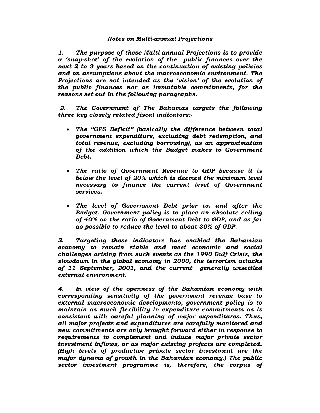#### *Notes on Multi-annual Projections*

*1. The purpose of these Multi-annual Projections is to provide a 'snap-shot' of the evolution of the public finances over the next 2 to 3 years based on the continuation of existing policies and on assumptions about the macroeconomic environment. The Projections are not intended as the 'vision' of the evolution of the public finances nor as immutable commitments, for the reasons set out in the following paragraphs.* 

 *2. The Government of The Bahamas targets the following three key closely related fiscal indicators:-* 

- *The "GFS Deficit" (basically the difference between total government expenditure, excluding debt redemption, and total revenue, excluding borrowing), as an approximation of the addition which the Budget makes to Government Debt.*
- *The ratio of Government Revenue to GDP because it is below the level of 20% which is deemed the minimum level necessary to finance the current level of Government services.*
- *The level of Government Debt prior to, and after the Budget. Government policy is to place an absolute ceiling of 40% on the ratio of Government Debt to GDP, and as far as possible to reduce the level to about 30% of GDP.*

*3. Targeting these indicators has enabled the Bahamian economy to remain stable and meet economic and social challenges arising from such events as the 1990 Gulf Crisis, the slowdown in the global economy in 2000, the terrorism attacks of 11 September, 2001, and the current generally unsettled external environment.* 

*4. In view of the openness of the Bahamian economy with corresponding sensitivity of the government revenue base to external macroeconomic developments, government policy is to maintain as much flexibility in expenditure commitments as is consistent with careful planning of major expenditures. Thus, all major projects and expenditures are carefully monitored and new commitments are only brought forward either in response to requirements to complement and induce major private sector investment inflows, or as major existing projects are completed. (High levels of productive private sector investment are the major dynamo of growth in the Bahamian economy.) The public sector investment programme is, therefore, the corpus of*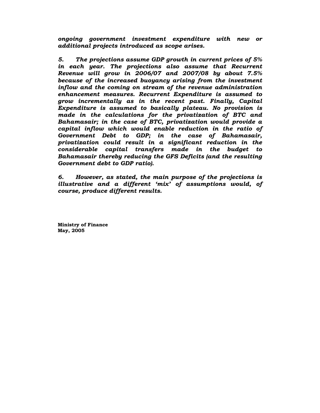*ongoing government investment expenditure with new or additional projects introduced as scope arises.* 

*5. The projections assume GDP growth in current prices of 5% in each year. The projections also assume that Recurrent Revenue will grow in 2006/07 and 2007/08 by about 7.5% because of the increased buoyancy arising from the investment inflow and the coming on stream of the revenue administration enhancement measures. Recurrent Expenditure is assumed to grow incrementally as in the recent past. Finally, Capital Expenditure is assumed to basically plateau. No provision is made in the calculations for the privatization of BTC and Bahamasair; in the case of BTC, privatization would provide a capital inflow which would enable reduction in the ratio of Government Debt to GDP; in the case of Bahamasair, privatization could result in a significant reduction in the considerable capital transfers made in the budget to Bahamasair thereby reducing the GFS Deficits (and the resulting Government debt to GDP ratio).* 

*6. However, as stated, the main purpose of the projections is illustrative and a different 'mix' of assumptions would, of course, produce different results.* 

**Ministry of Finance May, 2005**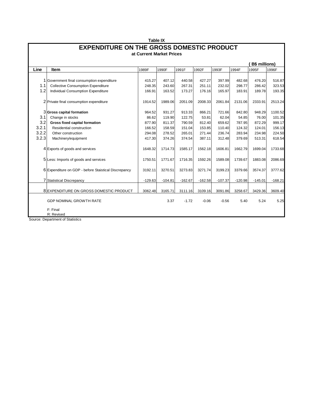|       | <b>Table IX</b>                                                              |           |           |           |           |           |           |           |           |  |  |  |
|-------|------------------------------------------------------------------------------|-----------|-----------|-----------|-----------|-----------|-----------|-----------|-----------|--|--|--|
|       | <b>EXPENDITURE ON THE GROSS DOMESTIC PRODUCT</b><br>at Current Market Prices |           |           |           |           |           |           |           |           |  |  |  |
|       |                                                                              |           |           |           |           |           |           |           |           |  |  |  |
|       | <b>B\$</b> millions)                                                         |           |           |           |           |           |           |           |           |  |  |  |
| Line  | Item                                                                         | 1989F     | 1990F     | 1991F     | 1992F     | 1993F     | 1994F     | 1995F     | 1996F     |  |  |  |
|       |                                                                              |           |           |           |           |           |           |           |           |  |  |  |
|       | 1 Government final consumption expenditure                                   | 415.27    | 407.12    | 440.58    | 427.27    | 397.99    | 482.68    | 476.20    | 516.87    |  |  |  |
| 1.1   | <b>Collective Consumption Expenditure</b>                                    | 248.35    | 243.60    | 267.31    | 251.11    | 232.02    | 298.77    | 286.42    | 323.53    |  |  |  |
| 1.2   | Individual Consumption Expenditure                                           | 166.91    | 163.52    | 173.27    | 176.16    | 165.97    | 183.91    | 189.78    | 193.35    |  |  |  |
|       | 2 Private final consumption expenditure                                      | 1914.52   | 1989.06   | 2051.09   | 2008.33   | 2061.84   | 2131.06   | 2333.91   | 2513.24   |  |  |  |
|       |                                                                              |           |           |           |           |           |           |           |           |  |  |  |
|       | 3 Gross capital formation                                                    | 964.52    | 931.27    | 913.33    | 866.21    | 721.66    | 842.80    | 948.29    | 1100.52   |  |  |  |
| 3.1   | Change in stocks                                                             | 86.62     | 119.90    | 122.75    | 53.81     | 62.04     | 54.85     | 76.00     | 101.35    |  |  |  |
| 3.2   | Gross fixed capital formation                                                | 877.90    | 811.37    | 790.59    | 812.40    | 659.62    | 787.95    | 872.29    | 999.17    |  |  |  |
| 3.2.1 | Residential construction                                                     | 166.52    | 158.59    | 151.04    | 153.85    | 110.40    | 124.32    | 124.01    | 156.13    |  |  |  |
| 3.2.2 | Other construction                                                           | 294.08    | 278.52    | 265.01    | 271.44    | 236.74    | 283.94    | 234.98    | 224.50    |  |  |  |
| 3.2.3 | Machinery/equipment                                                          | 417.30    | 374.26    | 374.54    | 387.11    | 312.48    | 379.69    | 513.31    | 618.54    |  |  |  |
|       | 4 Exports of goods and services                                              | 1648.32   | 1714.73   | 1585.17   | 1562.18   | 1606.81   | 1662.79   | 1699.04   | 1733.68   |  |  |  |
|       | 5 Less: Imports of goods and services                                        | 1750.51   | 1771.67   | 1716.35   | 1592.26   | 1589.08   | 1739.67   | 1883.08   | 2086.69   |  |  |  |
|       | 6 Expenditure on GDP - before Staistical Discrepancy                         | 3192.11   | 3270.51   | 3273.83   | 3271.74   | 3199.23   | 3379.66   | 3574.37   | 3777.62   |  |  |  |
|       | <b>7</b> Statistical Discrepancy                                             | $-129.63$ | $-104.81$ | $-162.67$ | $-162.58$ | $-107.37$ | $-120.98$ | $-145.01$ | $-168.21$ |  |  |  |
|       | 8 EXPENDITURE ON GROSS DOMESTIC PRODUCT                                      | 3062.48   | 3165.71   | 3111.16   | 3109.16   | 3091.86   | 3258.67   | 3429.36   | 3609.40   |  |  |  |
|       |                                                                              |           |           |           |           |           |           |           |           |  |  |  |
|       | GDP NOMINAL GROWTH RATE                                                      |           | 3.37      | $-1.72$   | $-0.06$   | $-0.56$   | 5.40      | 5.24      | 5.25      |  |  |  |
|       | F: Final                                                                     |           |           |           |           |           |           |           |           |  |  |  |
|       | R: Revised                                                                   |           |           |           |           |           |           |           |           |  |  |  |

Source: Department of Statistics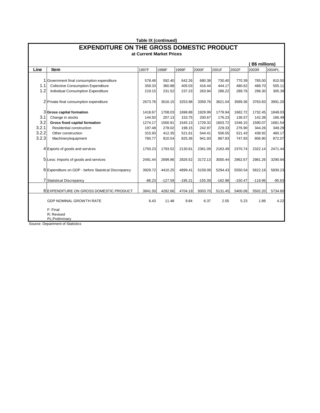|                                | Table IX (continued)                                                                                                                                                                                                      |                                                            |                                                            |                                                            |                                                            |                                                            |                                                            |                                                            |                                                            |  |  |  |
|--------------------------------|---------------------------------------------------------------------------------------------------------------------------------------------------------------------------------------------------------------------------|------------------------------------------------------------|------------------------------------------------------------|------------------------------------------------------------|------------------------------------------------------------|------------------------------------------------------------|------------------------------------------------------------|------------------------------------------------------------|------------------------------------------------------------|--|--|--|
|                                | <b>EXPENDITURE ON THE GROSS DOMESTIC PRODUCT</b><br>at Current Market Prices                                                                                                                                              |                                                            |                                                            |                                                            |                                                            |                                                            |                                                            |                                                            |                                                            |  |  |  |
|                                |                                                                                                                                                                                                                           |                                                            |                                                            |                                                            |                                                            |                                                            |                                                            | <b>B\$</b> millions)                                       |                                                            |  |  |  |
| Line                           | Item                                                                                                                                                                                                                      | 1997F                                                      | 1998F                                                      | 1999F                                                      | 2000F                                                      | 2001F                                                      | 2002F                                                      | 2003R                                                      | 2004PL                                                     |  |  |  |
| 1.1<br>1.2<br>3.1              | 1 Government final consumption expenditure<br><b>Collective Consumption Expenditure</b><br>Individual Consumption Expenditure<br>2 Private final consumption expenditure<br>3 Gross capital formation<br>Change in stocks | 578.48<br>359.33<br>219.15<br>2673.78<br>1418.67<br>144.50 | 592.40<br>360.88<br>231.52<br>3016.15<br>1708.03<br>207.13 | 642.26<br>405.03<br>237.23<br>3253.98<br>1698.88<br>153.75 | 680.38<br>416.44<br>263.94<br>3359.76<br>1929.99<br>200.67 | 730.40<br>444.17<br>286.22<br>3621.04<br>1779.94<br>176.23 | 770.39<br>480.62<br>289.76<br>3589.36<br>1682.72<br>136.57 | 785.00<br>488.70<br>296.30<br>3763.83<br>1732.45<br>142.38 | 810.50<br>505.11<br>305.39<br>3991.20<br>1848.03<br>166.49 |  |  |  |
| 3.2<br>3.2.1<br>3.2.2<br>3.2.3 | Gross fixed capital formation<br>Residential construction<br>Other construction<br>Machinery/equipment                                                                                                                    | 1274.17<br>197.48<br>315.93<br>760.77                      | 1500.91<br>278.02<br>412.35<br>810.54                      | 1545.13<br>198.15<br>521.61<br>825.36                      | 1729.32<br>242.97<br>544.41<br>941.93                      | 1603.72<br>229.33<br>506.55<br>867.83                      | 1546.15<br>276.90<br>521.43<br>747.83                      | 1590.07<br>344.26<br>438.92<br>806.90                      | 1681.54<br>349.29<br>460.17<br>872.07                      |  |  |  |
|                                | 4 Exports of goods and services<br>5 Less: Imports of goods and services                                                                                                                                                  | 1750.23<br>2491.44                                         | 1793.52<br>2699.86                                         | 2130.81<br>2826.52                                         | 2361.09<br>3172.13                                         | 2163.49<br>3000.44                                         | 2370.74<br>2862.67                                         | 2322.14<br>2981.26                                         | 2471.44<br>3290.94                                         |  |  |  |
|                                | 6 Expenditure on GDP - before Staistical Discrepancy<br><b>7</b> Statistical Discrepancy                                                                                                                                  | 3929.72<br>$-88.23$                                        | 4410.25<br>$-127.59$                                       | 4899.41<br>$-195.21$                                       | 5159.09<br>$-155.39$                                       | 5294.43<br>$-162.98$                                       | 5550.54<br>$-150.47$                                       | 5622.16<br>$-119.96$                                       | 5830.23<br>$-95.63$                                        |  |  |  |
|                                | 8 EXPENDITURE ON GROSS DOMESTIC PRODUCT                                                                                                                                                                                   | 3841.50                                                    | 4282.66                                                    | 4704.19                                                    | 5003.70                                                    | 5131.45                                                    | 5400.06                                                    | 5502.20                                                    | 5734.60                                                    |  |  |  |
|                                | <b>GDP NOMINAL GROWTH RATE</b><br>F: Final<br>R: Revised<br>PL:Preliminary<br>Source: Department of Statistics                                                                                                            | 6.43                                                       | 11.48                                                      | 9.84                                                       | 6.37                                                       | 2.55                                                       | 5.23                                                       | 1.89                                                       | 4.22                                                       |  |  |  |

Source: Department of Statistics